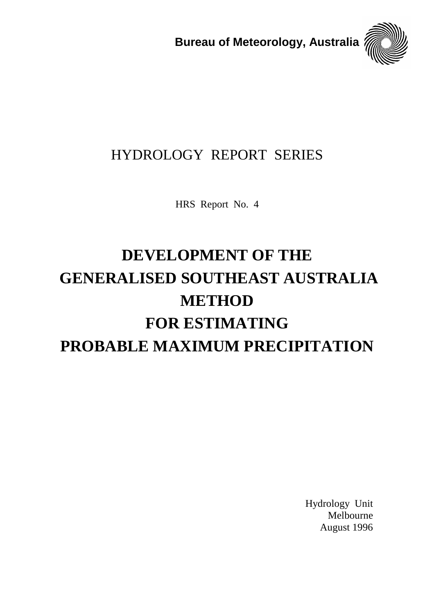**Bureau of Meteorology, Australia**



## HYDROLOGY REPORT SERIES

HRS Report No. 4

# **DEVELOPMENT OF THE GENERALISED SOUTHEAST AUSTRALIA METHOD FOR ESTIMATING PROBABLE MAXIMUM PRECIPITATION**

Hydrology Unit Melbourne August 1996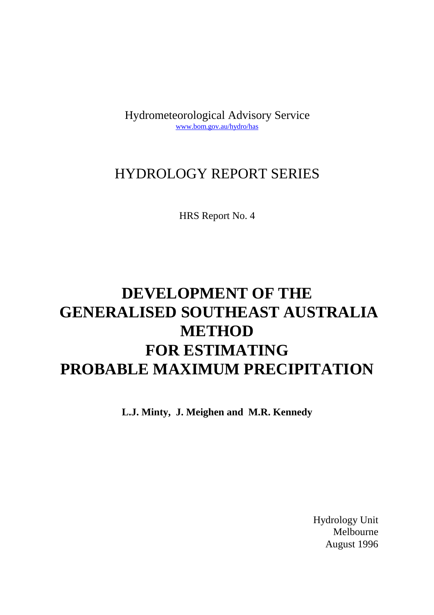Hydrometeorological Advisory Service www.bom.gov.au/hydro/has

## HYDROLOGY REPORT SERIES

HRS Report No. 4

## **DEVELOPMENT OF THE GENERALISED SOUTHEAST AUSTRALIA METHOD FOR ESTIMATING PROBABLE MAXIMUM PRECIPITATION**

**L.J. Minty, J. Meighen and M.R. Kennedy**

Hydrology Unit Melbourne August 1996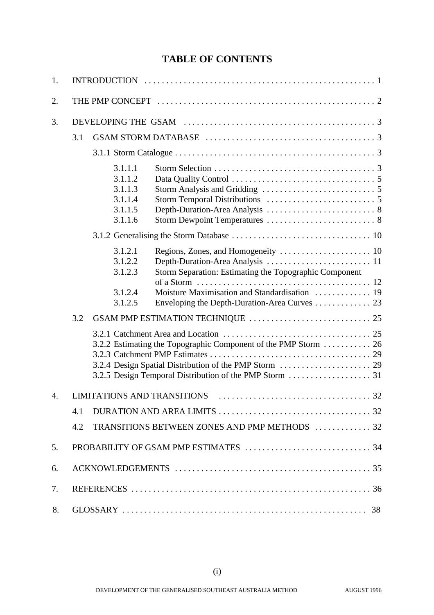## **TABLE OF CONTENTS**

| 1. |     |                                                                |                                                                 |  |  |
|----|-----|----------------------------------------------------------------|-----------------------------------------------------------------|--|--|
| 2. |     |                                                                |                                                                 |  |  |
| 3. |     |                                                                |                                                                 |  |  |
|    | 3.1 |                                                                |                                                                 |  |  |
|    |     |                                                                |                                                                 |  |  |
|    |     | 3.1.1.1<br>3.1.1.2<br>3.1.1.3<br>3.1.1.4<br>3.1.1.5<br>3.1.1.6 |                                                                 |  |  |
|    |     |                                                                |                                                                 |  |  |
|    |     | 3.1.2.1<br>3.1.2.2<br>3.1.2.3                                  | Storm Separation: Estimating the Topographic Component          |  |  |
|    |     | 3.1.2.4<br>3.1.2.5                                             | Enveloping the Depth-Duration-Area Curves 23                    |  |  |
|    | 3.2 |                                                                |                                                                 |  |  |
|    |     |                                                                | 3.2.2 Estimating the Topographic Component of the PMP Storm  26 |  |  |
| 4. |     |                                                                |                                                                 |  |  |
|    | 4.1 |                                                                |                                                                 |  |  |
|    | 4.2 |                                                                | TRANSITIONS BETWEEN ZONES AND PMP METHODS 32                    |  |  |
| 5. |     |                                                                |                                                                 |  |  |
| 6. |     |                                                                |                                                                 |  |  |
| 7. |     |                                                                |                                                                 |  |  |
| 8. |     |                                                                |                                                                 |  |  |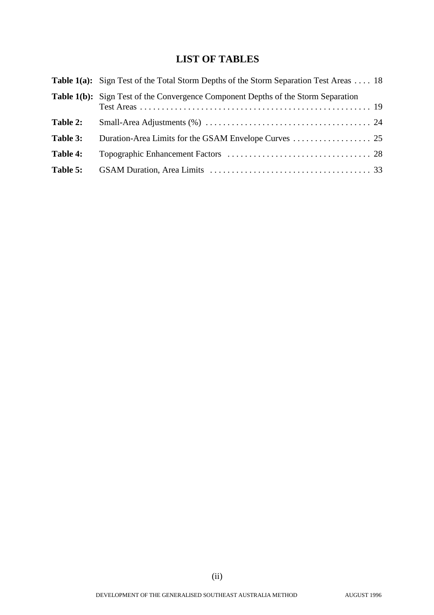## **LIST OF TABLES**

|          | <b>Table 1(a):</b> Sign Test of the Total Storm Depths of the Storm Separation Test Areas  18 |
|----------|-----------------------------------------------------------------------------------------------|
|          | <b>Table 1(b):</b> Sign Test of the Convergence Component Depths of the Storm Separation      |
| Table 2: |                                                                                               |
| Table 3: |                                                                                               |
| Table 4: |                                                                                               |
| Table 5: |                                                                                               |
|          |                                                                                               |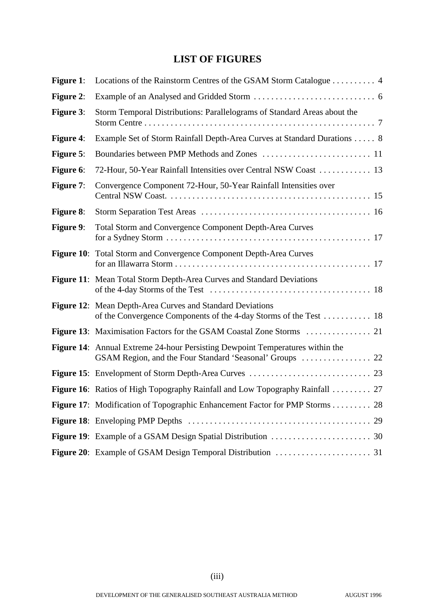## **LIST OF FIGURES**

| Figure 1:        | Locations of the Rainstorm Centres of the GSAM Storm Catalogue 4                    |
|------------------|-------------------------------------------------------------------------------------|
| <b>Figure 2:</b> |                                                                                     |
| <b>Figure 3:</b> | Storm Temporal Distributions: Parallelograms of Standard Areas about the            |
| Figure 4:        | Example Set of Storm Rainfall Depth-Area Curves at Standard Durations  8            |
| Figure 5:        |                                                                                     |
| Figure 6:        | 72-Hour, 50-Year Rainfall Intensities over Central NSW Coast  13                    |
| Figure 7:        | Convergence Component 72-Hour, 50-Year Rainfall Intensities over                    |
| <b>Figure 8:</b> |                                                                                     |
| Figure 9:        | Total Storm and Convergence Component Depth-Area Curves                             |
|                  | <b>Figure 10:</b> Total Storm and Convergence Component Depth-Area Curves           |
|                  | Figure 11: Mean Total Storm Depth-Area Curves and Standard Deviations               |
|                  | Figure 12: Mean Depth-Area Curves and Standard Deviations                           |
|                  |                                                                                     |
|                  | Figure 14: Annual Extreme 24-hour Persisting Dewpoint Temperatures within the       |
|                  |                                                                                     |
|                  | <b>Figure 16:</b> Ratios of High Topography Rainfall and Low Topography Rainfall 27 |
|                  | Figure 17: Modification of Topographic Enhancement Factor for PMP Storms 28         |
|                  |                                                                                     |
|                  |                                                                                     |
|                  |                                                                                     |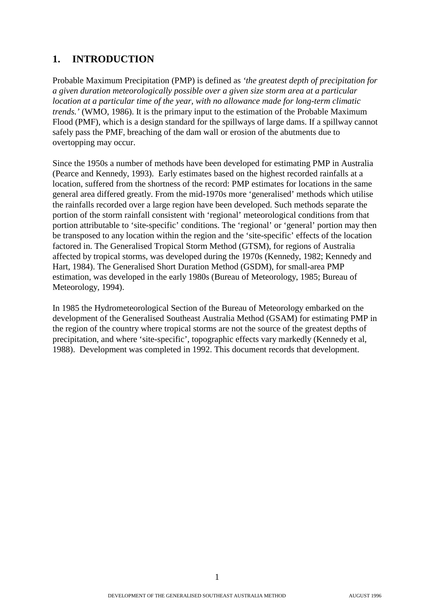## **1. INTRODUCTION**

Probable Maximum Precipitation (PMP) is defined as *'the greatest depth of precipitation for a given duration meteorologically possible over a given size storm area at a particular location at a particular time of the year, with no allowance made for long-term climatic trends.'* (WMO, 1986). It is the primary input to the estimation of the Probable Maximum Flood (PMF), which is a design standard for the spillways of large dams. If a spillway cannot safely pass the PMF, breaching of the dam wall or erosion of the abutments due to overtopping may occur.

Since the 1950s a number of methods have been developed for estimating PMP in Australia (Pearce and Kennedy, 1993). Early estimates based on the highest recorded rainfalls at a location, suffered from the shortness of the record: PMP estimates for locations in the same general area differed greatly. From the mid-1970s more 'generalised' methods which utilise the rainfalls recorded over a large region have been developed. Such methods separate the portion of the storm rainfall consistent with 'regional' meteorological conditions from that portion attributable to 'site-specific' conditions. The 'regional' or 'general' portion may then be transposed to any location within the region and the 'site-specific' effects of the location factored in. The Generalised Tropical Storm Method (GTSM), for regions of Australia affected by tropical storms, was developed during the 1970s (Kennedy, 1982; Kennedy and Hart, 1984). The Generalised Short Duration Method (GSDM), for small-area PMP estimation, was developed in the early 1980s (Bureau of Meteorology, 1985; Bureau of Meteorology, 1994).

In 1985 the Hydrometeorological Section of the Bureau of Meteorology embarked on the development of the Generalised Southeast Australia Method (GSAM) for estimating PMP in the region of the country where tropical storms are not the source of the greatest depths of precipitation, and where 'site-specific', topographic effects vary markedly (Kennedy et al, 1988). Development was completed in 1992. This document records that development.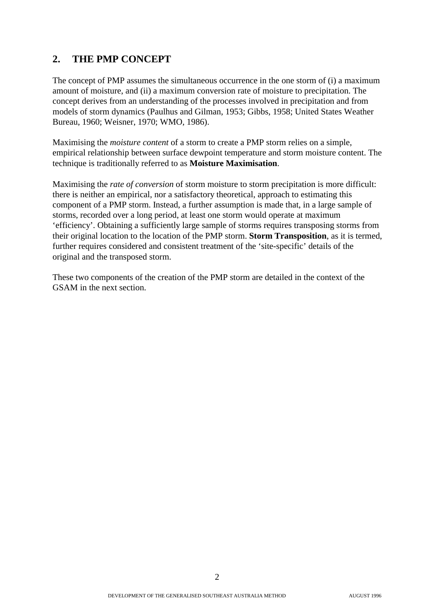## **2. THE PMP CONCEPT**

The concept of PMP assumes the simultaneous occurrence in the one storm of (i) a maximum amount of moisture, and (ii) a maximum conversion rate of moisture to precipitation. The concept derives from an understanding of the processes involved in precipitation and from models of storm dynamics (Paulhus and Gilman, 1953; Gibbs, 1958; United States Weather Bureau, 1960; Weisner, 1970; WMO, 1986).

Maximising the *moisture content* of a storm to create a PMP storm relies on a simple, empirical relationship between surface dewpoint temperature and storm moisture content. The technique is traditionally referred to as **Moisture Maximisation**.

Maximising the *rate of conversion* of storm moisture to storm precipitation is more difficult: there is neither an empirical, nor a satisfactory theoretical, approach to estimating this component of a PMP storm. Instead, a further assumption is made that, in a large sample of storms, recorded over a long period, at least one storm would operate at maximum 'efficiency'. Obtaining a sufficiently large sample of storms requires transposing storms from their original location to the location of the PMP storm. **Storm Transposition**, as it is termed, further requires considered and consistent treatment of the 'site-specific' details of the original and the transposed storm.

These two components of the creation of the PMP storm are detailed in the context of the GSAM in the next section.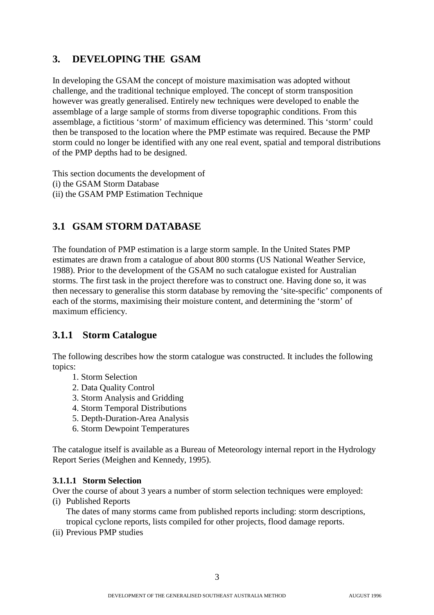## **3. DEVELOPING THE GSAM**

In developing the GSAM the concept of moisture maximisation was adopted without challenge, and the traditional technique employed. The concept of storm transposition however was greatly generalised. Entirely new techniques were developed to enable the assemblage of a large sample of storms from diverse topographic conditions. From this assemblage, a fictitious 'storm' of maximum efficiency was determined. This 'storm' could then be transposed to the location where the PMP estimate was required. Because the PMP storm could no longer be identified with any one real event, spatial and temporal distributions of the PMP depths had to be designed.

This section documents the development of (i) the GSAM Storm Database (ii) the GSAM PMP Estimation Technique

## **3.1 GSAM STORM DATABASE**

The foundation of PMP estimation is a large storm sample. In the United States PMP estimates are drawn from a catalogue of about 800 storms (US National Weather Service, 1988). Prior to the development of the GSAM no such catalogue existed for Australian storms. The first task in the project therefore was to construct one. Having done so, it was then necessary to generalise this storm database by removing the 'site-specific' components of each of the storms, maximising their moisture content, and determining the 'storm' of maximum efficiency.

## **3.1.1 Storm Catalogue**

The following describes how the storm catalogue was constructed. It includes the following topics:

- 1. Storm Selection
- 2. Data Quality Control
- 3. Storm Analysis and Gridding
- 4. Storm Temporal Distributions
- 5. Depth-Duration-Area Analysis
- 6. Storm Dewpoint Temperatures

The catalogue itself is available as a Bureau of Meteorology internal report in the Hydrology Report Series (Meighen and Kennedy, 1995).

#### **3.1.1.1 Storm Selection**

Over the course of about 3 years a number of storm selection techniques were employed: (i) Published Reports

The dates of many storms came from published reports including: storm descriptions, tropical cyclone reports, lists compiled for other projects, flood damage reports.

(ii) Previous PMP studies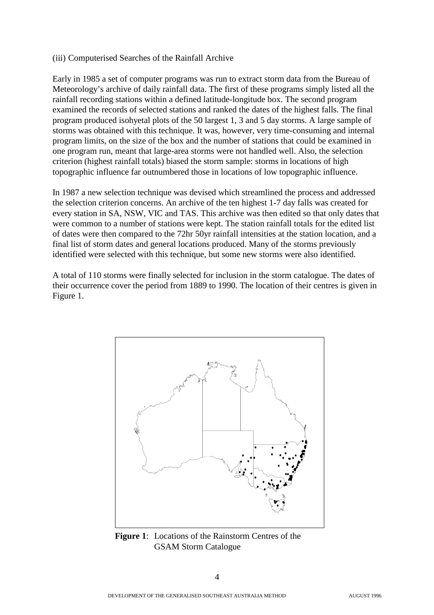#### (iii) Computerised Searches of the Rainfall Archive

Early in 1985 a set of computer programs was run to extract storm data from the Bureau of Meteorology's archive of daily rainfall data. The first of these programs simply listed all the rainfall recording stations within a defined latitude-longitude box. The second program examined the records of selected stations and ranked the dates of the highest falls. The final program produced isohyetal plots of the 50 largest 1, 3 and 5 day storms. A large sample of storms was obtained with this technique. It was, however, very time-consuming and internal program limits, on the size of the box and the number of stations that could be examined in one program run, meant that large-area storms were not handled well. Also, the selection criterion (highest rainfall totals) biased the storm sample: storms in locations of high topographic influence far outnumbered those in locations of low topographic influence.

In 1987 a new selection technique was devised which streamlined the process and addressed the selection criterion concerns. An archive of the ten highest 1-7 day falls was created for every station in SA, NSW, VIC and TAS. This archive was then edited so that only dates that were common to a number of stations were kept. The station rainfall totals for the edited list of dates were then compared to the 72hr 50yr rainfall intensities at the station location, and a final list of storm dates and general locations produced. Many of the storms previously identified were selected with this technique, but some new storms were also identified.

A total of 110 storms were finally selected for inclusion in the storm catalogue. The dates of their occurrence cover the period from 1889 to 1990. The location of their centres is given in Figure 1.



**Figure 1**: Locations of the Rainstorm Centres of the GSAM Storm Catalogue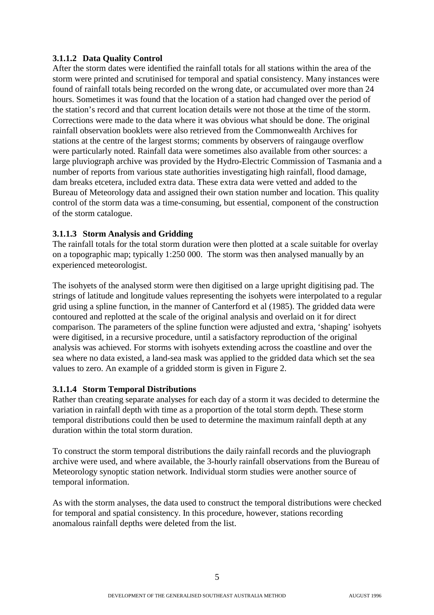#### **3.1.1.2 Data Quality Control**

After the storm dates were identified the rainfall totals for all stations within the area of the storm were printed and scrutinised for temporal and spatial consistency. Many instances were found of rainfall totals being recorded on the wrong date, or accumulated over more than 24 hours. Sometimes it was found that the location of a station had changed over the period of the station's record and that current location details were not those at the time of the storm. Corrections were made to the data where it was obvious what should be done. The original rainfall observation booklets were also retrieved from the Commonwealth Archives for stations at the centre of the largest storms; comments by observers of raingauge overflow were particularly noted. Rainfall data were sometimes also available from other sources: a large pluviograph archive was provided by the Hydro-Electric Commission of Tasmania and a number of reports from various state authorities investigating high rainfall, flood damage, dam breaks etcetera, included extra data. These extra data were vetted and added to the Bureau of Meteorology data and assigned their own station number and location. This quality control of the storm data was a time-consuming, but essential, component of the construction of the storm catalogue.

#### **3.1.1.3 Storm Analysis and Gridding**

The rainfall totals for the total storm duration were then plotted at a scale suitable for overlay on a topographic map; typically 1:250 000. The storm was then analysed manually by an experienced meteorologist.

The isohyets of the analysed storm were then digitised on a large upright digitising pad. The strings of latitude and longitude values representing the isohyets were interpolated to a regular grid using a spline function, in the manner of Canterford et al (1985). The gridded data were contoured and replotted at the scale of the original analysis and overlaid on it for direct comparison. The parameters of the spline function were adjusted and extra, 'shaping' isohyets were digitised, in a recursive procedure, until a satisfactory reproduction of the original analysis was achieved. For storms with isohyets extending across the coastline and over the sea where no data existed, a land-sea mask was applied to the gridded data which set the sea values to zero. An example of a gridded storm is given in Figure 2.

#### **3.1.1.4 Storm Temporal Distributions**

Rather than creating separate analyses for each day of a storm it was decided to determine the variation in rainfall depth with time as a proportion of the total storm depth. These storm temporal distributions could then be used to determine the maximum rainfall depth at any duration within the total storm duration.

To construct the storm temporal distributions the daily rainfall records and the pluviograph archive were used, and where available, the 3-hourly rainfall observations from the Bureau of Meteorology synoptic station network. Individual storm studies were another source of temporal information.

As with the storm analyses, the data used to construct the temporal distributions were checked for temporal and spatial consistency. In this procedure, however, stations recording anomalous rainfall depths were deleted from the list.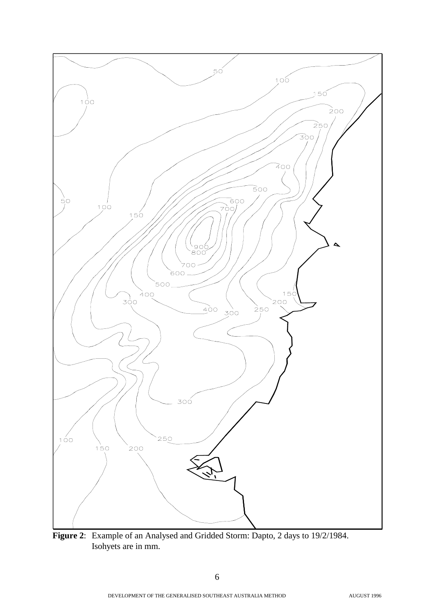

**Figure 2**: Example of an Analysed and Gridded Storm: Dapto, 2 days to 19/2/1984. Isohyets are in mm.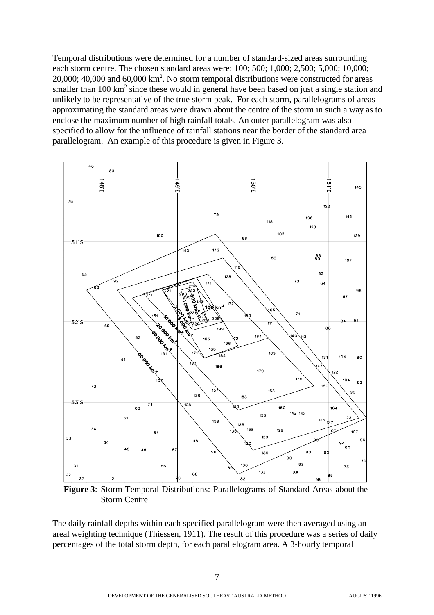Temporal distributions were determined for a number of standard-sized areas surrounding each storm centre. The chosen standard areas were: 100; 500; 1,000; 2,500; 5,000; 10,000;  $20,000;$  40,000 and 60,000 km<sup>2</sup>. No storm temporal distributions were constructed for areas smaller than  $100 \text{ km}^2$  since these would in general have been based on just a single station and unlikely to be representative of the true storm peak. For each storm, parallelograms of areas approximating the standard areas were drawn about the centre of the storm in such a way as to enclose the maximum number of high rainfall totals. An outer parallelogram was also specified to allow for the influence of rainfall stations near the border of the standard area parallelogram. An example of this procedure is given in Figure 3.



**Figure 3**: Storm Temporal Distributions: Parallelograms of Standard Areas about the Storm Centre

The daily rainfall depths within each specified parallelogram were then averaged using an areal weighting technique (Thiessen, 1911). The result of this procedure was a series of daily percentages of the total storm depth, for each parallelogram area. A 3-hourly temporal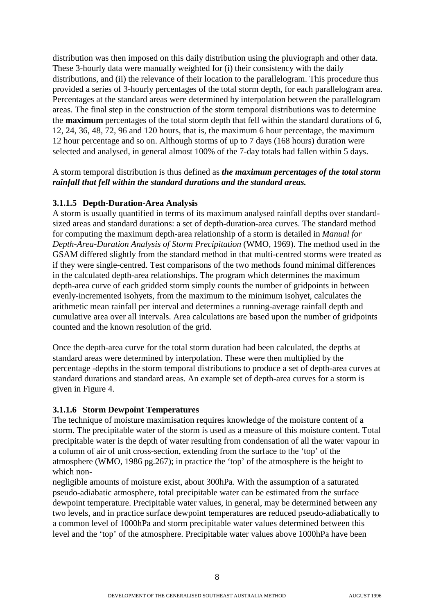distribution was then imposed on this daily distribution using the pluviograph and other data. These 3-hourly data were manually weighted for (i) their consistency with the daily distributions, and (ii) the relevance of their location to the parallelogram. This procedure thus provided a series of 3-hourly percentages of the total storm depth, for each parallelogram area. Percentages at the standard areas were determined by interpolation between the parallelogram areas. The final step in the construction of the storm temporal distributions was to determine the **maximum** percentages of the total storm depth that fell within the standard durations of 6, 12, 24, 36, 48, 72, 96 and 120 hours, that is, the maximum 6 hour percentage, the maximum 12 hour percentage and so on. Although storms of up to 7 days (168 hours) duration were selected and analysed, in general almost 100% of the 7-day totals had fallen within 5 days.

#### A storm temporal distribution is thus defined as *the maximum percentages of the total storm rainfall that fell within the standard durations and the standard areas.*

#### **3.1.1.5 Depth-Duration-Area Analysis**

A storm is usually quantified in terms of its maximum analysed rainfall depths over standardsized areas and standard durations: a set of depth-duration-area curves. The standard method for computing the maximum depth-area relationship of a storm is detailed in *Manual for Depth-Area-Duration Analysis of Storm Precipitation* (WMO, 1969). The method used in the GSAM differed slightly from the standard method in that multi-centred storms were treated as if they were single-centred. Test comparisons of the two methods found minimal differences in the calculated depth-area relationships. The program which determines the maximum depth-area curve of each gridded storm simply counts the number of gridpoints in between evenly-incremented isohyets, from the maximum to the minimum isohyet, calculates the arithmetic mean rainfall per interval and determines a running-average rainfall depth and cumulative area over all intervals. Area calculations are based upon the number of gridpoints counted and the known resolution of the grid.

Once the depth-area curve for the total storm duration had been calculated, the depths at standard areas were determined by interpolation. These were then multiplied by the percentage -depths in the storm temporal distributions to produce a set of depth-area curves at standard durations and standard areas. An example set of depth-area curves for a storm is given in Figure 4.

#### **3.1.1.6 Storm Dewpoint Temperatures**

The technique of moisture maximisation requires knowledge of the moisture content of a storm. The precipitable water of the storm is used as a measure of this moisture content. Total precipitable water is the depth of water resulting from condensation of all the water vapour in a column of air of unit cross-section, extending from the surface to the 'top' of the atmosphere (WMO, 1986 pg.267); in practice the 'top' of the atmosphere is the height to which non-

negligible amounts of moisture exist, about 300hPa. With the assumption of a saturated pseudo-adiabatic atmosphere, total precipitable water can be estimated from the surface dewpoint temperature. Precipitable water values, in general, may be determined between any two levels, and in practice surface dewpoint temperatures are reduced pseudo-adiabatically to a common level of 1000hPa and storm precipitable water values determined between this level and the 'top' of the atmosphere. Precipitable water values above 1000hPa have been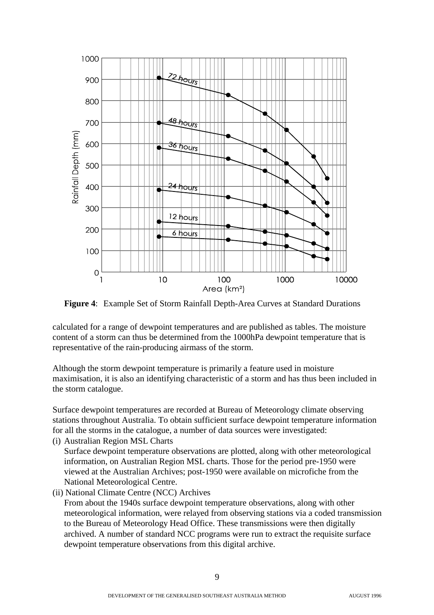

**Figure 4**: Example Set of Storm Rainfall Depth-Area Curves at Standard Durations

calculated for a range of dewpoint temperatures and are published as tables. The moisture content of a storm can thus be determined from the 1000hPa dewpoint temperature that is representative of the rain-producing airmass of the storm.

Although the storm dewpoint temperature is primarily a feature used in moisture maximisation, it is also an identifying characteristic of a storm and has thus been included in the storm catalogue.

Surface dewpoint temperatures are recorded at Bureau of Meteorology climate observing stations throughout Australia. To obtain sufficient surface dewpoint temperature information for all the storms in the catalogue, a number of data sources were investigated:

(i) Australian Region MSL Charts

Surface dewpoint temperature observations are plotted, along with other meteorological information, on Australian Region MSL charts. Those for the period pre-1950 were viewed at the Australian Archives; post-1950 were available on microfiche from the National Meteorological Centre.

(ii) National Climate Centre (NCC) Archives

From about the 1940s surface dewpoint temperature observations, along with other meteorological information, were relayed from observing stations via a coded transmission to the Bureau of Meteorology Head Office. These transmissions were then digitally archived. A number of standard NCC programs were run to extract the requisite surface dewpoint temperature observations from this digital archive.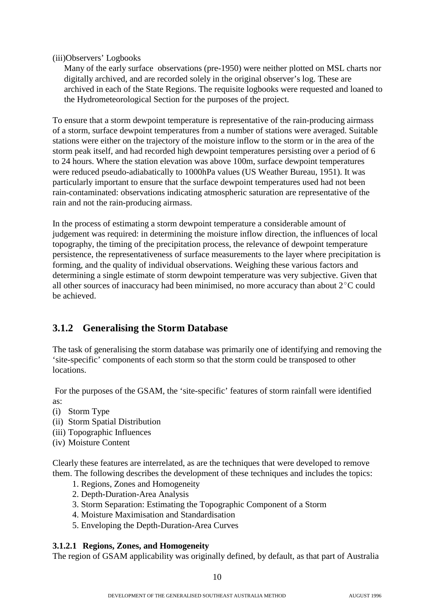(iii)Observers' Logbooks

Many of the early surface observations (pre-1950) were neither plotted on MSL charts nor digitally archived, and are recorded solely in the original observer's log. These are archived in each of the State Regions. The requisite logbooks were requested and loaned to the Hydrometeorological Section for the purposes of the project.

To ensure that a storm dewpoint temperature is representative of the rain-producing airmass of a storm, surface dewpoint temperatures from a number of stations were averaged. Suitable stations were either on the trajectory of the moisture inflow to the storm or in the area of the storm peak itself, and had recorded high dewpoint temperatures persisting over a period of 6 to 24 hours. Where the station elevation was above 100m, surface dewpoint temperatures were reduced pseudo-adiabatically to 1000hPa values (US Weather Bureau, 1951). It was particularly important to ensure that the surface dewpoint temperatures used had not been rain-contaminated: observations indicating atmospheric saturation are representative of the rain and not the rain-producing airmass.

In the process of estimating a storm dewpoint temperature a considerable amount of judgement was required: in determining the moisture inflow direction, the influences of local topography, the timing of the precipitation process, the relevance of dewpoint temperature persistence, the representativeness of surface measurements to the layer where precipitation is forming, and the quality of individual observations. Weighing these various factors and determining a single estimate of storm dewpoint temperature was very subjective. Given that all other sources of inaccuracy had been minimised, no more accuracy than about  $2^{\circ}$ C could be achieved.

## **3.1.2 Generalising the Storm Database**

The task of generalising the storm database was primarily one of identifying and removing the 'site-specific' components of each storm so that the storm could be transposed to other locations.

 For the purposes of the GSAM, the 'site-specific' features of storm rainfall were identified as:

- (i) Storm Type
- (ii) Storm Spatial Distribution
- (iii) Topographic Influences
- (iv) Moisture Content

Clearly these features are interrelated, as are the techniques that were developed to remove them. The following describes the development of these techniques and includes the topics:

- 1. Regions, Zones and Homogeneity
- 2. Depth-Duration-Area Analysis
- 3. Storm Separation: Estimating the Topographic Component of a Storm
- 4. Moisture Maximisation and Standardisation
- 5. Enveloping the Depth-Duration-Area Curves

#### **3.1.2.1 Regions, Zones, and Homogeneity**

The region of GSAM applicability was originally defined, by default, as that part of Australia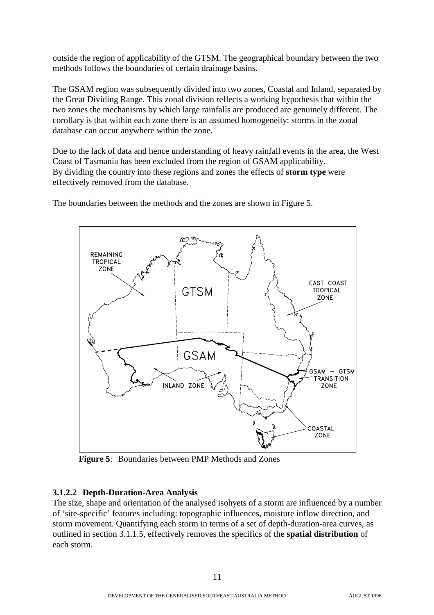outside the region of applicability of the GTSM. The geographical boundary between the two methods follows the boundaries of certain drainage basins.

The GSAM region was subsequently divided into two zones, Coastal and Inland, separated by the Great Dividing Range. This zonal division reflects a working hypothesis that within the two zones the mechanisms by which large rainfalls are produced are genuinely different. The corollary is that within each zone there is an assumed homogeneity: storms in the zonal database can occur anywhere within the zone.

Due to the lack of data and hence understanding of heavy rainfall events in the area, the West Coast of Tasmania has been excluded from the region of GSAM applicability. By dividing the country into these regions and zones the effects of **storm type** were effectively removed from the database.



The boundaries between the methods and the zones are shown in Figure 5.

**Figure 5**: Boundaries between PMP Methods and Zones

## **3.1.2.2 Depth-Duration-Area Analysis**

The size, shape and orientation of the analysed isohyets of a storm are influenced by a number of 'site-specific' features including: topographic influences, moisture inflow direction, and storm movement. Quantifying each storm in terms of a set of depth-duration-area curves, as outlined in section 3.1.1.5, effectively removes the specifics of the **spatial distribution** of each storm.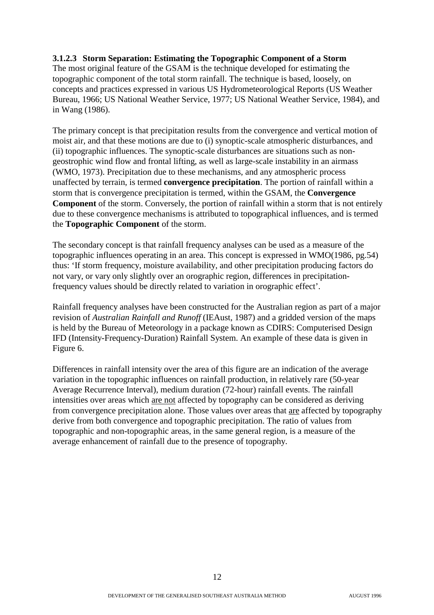#### **3.1.2.3 Storm Separation: Estimating the Topographic Component of a Storm**

The most original feature of the GSAM is the technique developed for estimating the topographic component of the total storm rainfall. The technique is based, loosely, on concepts and practices expressed in various US Hydrometeorological Reports (US Weather Bureau, 1966; US National Weather Service, 1977; US National Weather Service, 1984), and in Wang (1986).

The primary concept is that precipitation results from the convergence and vertical motion of moist air, and that these motions are due to (i) synoptic-scale atmospheric disturbances, and (ii) topographic influences. The synoptic-scale disturbances are situations such as nongeostrophic wind flow and frontal lifting, as well as large-scale instability in an airmass (WMO, 1973). Precipitation due to these mechanisms, and any atmospheric process unaffected by terrain, is termed **convergence precipitation**. The portion of rainfall within a storm that is convergence precipitation is termed, within the GSAM, the **Convergence Component** of the storm. Conversely, the portion of rainfall within a storm that is not entirely due to these convergence mechanisms is attributed to topographical influences, and is termed the **Topographic Component** of the storm.

The secondary concept is that rainfall frequency analyses can be used as a measure of the topographic influences operating in an area. This concept is expressed in WMO(1986, pg.54) thus: 'If storm frequency, moisture availability, and other precipitation producing factors do not vary, or vary only slightly over an orographic region, differences in precipitationfrequency values should be directly related to variation in orographic effect'.

Rainfall frequency analyses have been constructed for the Australian region as part of a major revision of *Australian Rainfall and Runoff* (IEAust, 1987) and a gridded version of the maps is held by the Bureau of Meteorology in a package known as CDIRS: Computerised Design IFD (Intensity-Frequency-Duration) Rainfall System. An example of these data is given in Figure 6.

Differences in rainfall intensity over the area of this figure are an indication of the average variation in the topographic influences on rainfall production, in relatively rare (50-year Average Recurrence Interval), medium duration (72-hour) rainfall events. The rainfall intensities over areas which are not affected by topography can be considered as deriving from convergence precipitation alone. Those values over areas that are affected by topography derive from both convergence and topographic precipitation. The ratio of values from topographic and non-topographic areas, in the same general region, is a measure of the average enhancement of rainfall due to the presence of topography.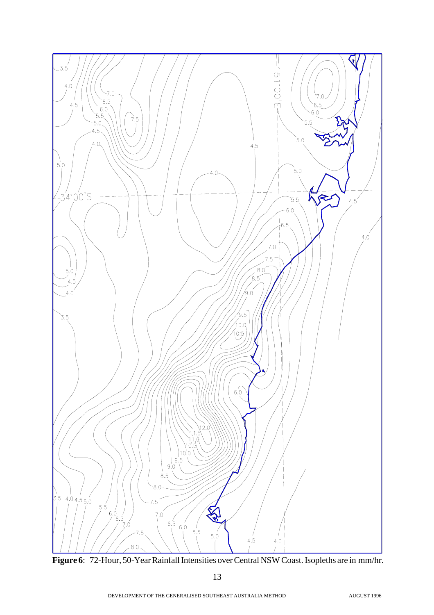

**Figure 6**: 72-Hour, 50-Year Rainfall Intensities over Central NSW Coast. Isopleths are in mm/hr.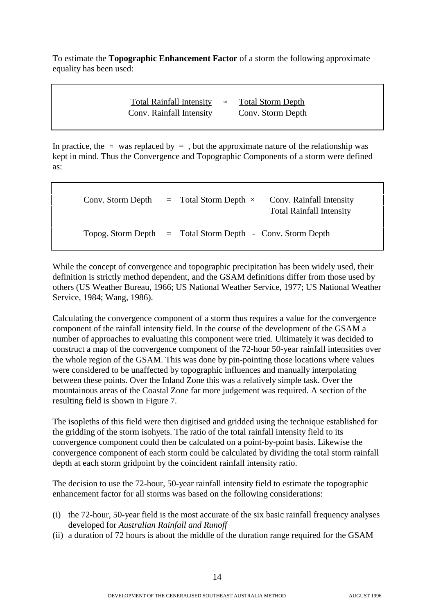To estimate the **Topographic Enhancement Factor** of a storm the following approximate equality has been used:

> Total Rainfall Intensity  $\approx$  Total Storm Depth Conv. Rainfall Intensity Conv. Storm Depth

In practice, the  $\approx$  was replaced by  $=$ , but the approximate nature of the relationship was kept in mind. Thus the Convergence and Topographic Components of a storm were defined as:

| Conv. Storm Depth | $=$ Total Storm Depth $\times$                               | Conv. Rainfall Intensity<br><b>Total Rainfall Intensity</b> |
|-------------------|--------------------------------------------------------------|-------------------------------------------------------------|
|                   | Topog. Storm Depth $=$ Total Storm Depth - Conv. Storm Depth |                                                             |

While the concept of convergence and topographic precipitation has been widely used, their definition is strictly method dependent, and the GSAM definitions differ from those used by others (US Weather Bureau, 1966; US National Weather Service, 1977; US National Weather Service, 1984; Wang, 1986).

Calculating the convergence component of a storm thus requires a value for the convergence component of the rainfall intensity field. In the course of the development of the GSAM a number of approaches to evaluating this component were tried. Ultimately it was decided to construct a map of the convergence component of the 72-hour 50-year rainfall intensities over the whole region of the GSAM. This was done by pin-pointing those locations where values were considered to be unaffected by topographic influences and manually interpolating between these points. Over the Inland Zone this was a relatively simple task. Over the mountainous areas of the Coastal Zone far more judgement was required. A section of the resulting field is shown in Figure 7.

The isopleths of this field were then digitised and gridded using the technique established for the gridding of the storm isohyets. The ratio of the total rainfall intensity field to its convergence component could then be calculated on a point-by-point basis. Likewise the convergence component of each storm could be calculated by dividing the total storm rainfall depth at each storm gridpoint by the coincident rainfall intensity ratio.

The decision to use the 72-hour, 50-year rainfall intensity field to estimate the topographic enhancement factor for all storms was based on the following considerations:

- (i) the 72-hour, 50-year field is the most accurate of the six basic rainfall frequency analyses developed for *Australian Rainfall and Runoff*
- (ii) a duration of 72 hours is about the middle of the duration range required for the GSAM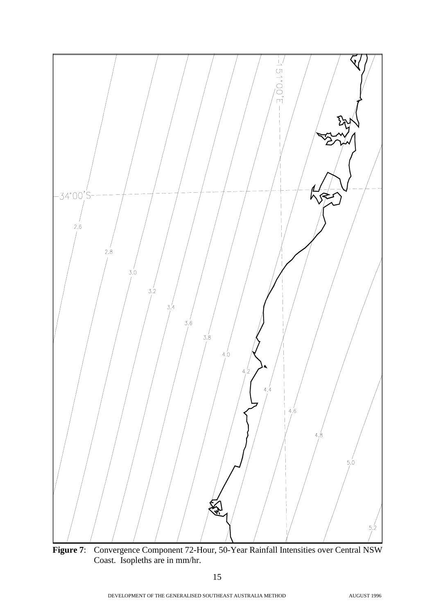

**Figure 7**: Convergence Component 72-Hour, 50-Year Rainfall Intensities over Central NSW Coast. Isopleths are in mm/hr.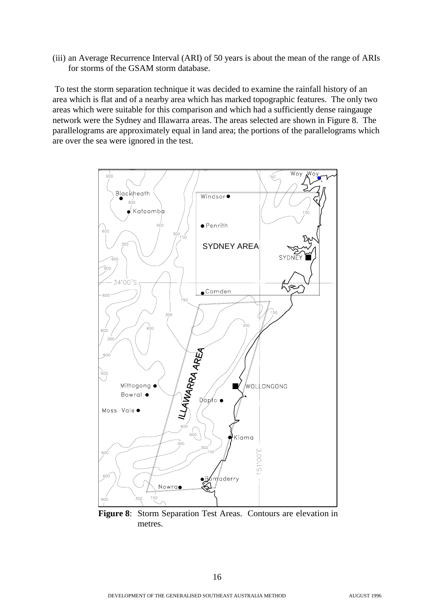(iii) an Average Recurrence Interval (ARI) of 50 years is about the mean of the range of ARIs for storms of the GSAM storm database.

 To test the storm separation technique it was decided to examine the rainfall history of an area which is flat and of a nearby area which has marked topographic features. The only two areas which were suitable for this comparison and which had a sufficiently dense raingauge network were the Sydney and Illawarra areas. The areas selected are shown in Figure 8. The parallelograms are approximately equal in land area; the portions of the parallelograms which are over the sea were ignored in the test.



**Figure 8**: Storm Separation Test Areas. Contours are elevation in metres.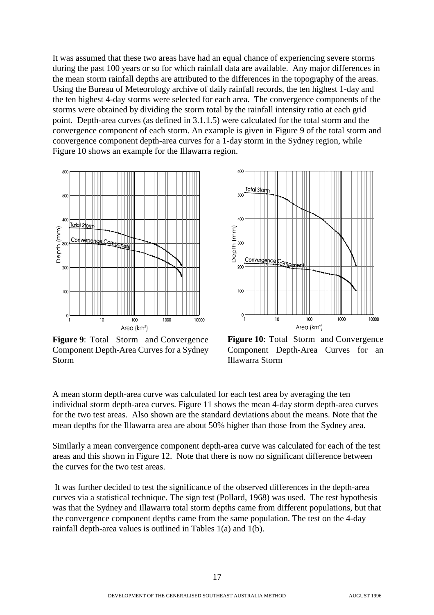It was assumed that these two areas have had an equal chance of experiencing severe storms during the past 100 years or so for which rainfall data are available. Any major differences in the mean storm rainfall depths are attributed to the differences in the topography of the areas. Using the Bureau of Meteorology archive of daily rainfall records, the ten highest 1-day and the ten highest 4-day storms were selected for each area. The convergence components of the storms were obtained by dividing the storm total by the rainfall intensity ratio at each grid point. Depth-area curves (as defined in 3.1.1.5) were calculated for the total storm and the convergence component of each storm. An example is given in Figure 9 of the total storm and convergence component depth-area curves for a 1-day storm in the Sydney region, while Figure 10 shows an example for the Illawarra region.



**Figure 9:** Total Storm and Convergence Component Depth-Area Curves for a Sydney Storm



**Figure 10**: Total Storm and Convergence Component Depth-Area Curves for an Illawarra Storm

A mean storm depth-area curve was calculated for each test area by averaging the ten individual storm depth-area curves. Figure 11 shows the mean 4-day storm depth-area curves for the two test areas. Also shown are the standard deviations about the means. Note that the mean depths for the Illawarra area are about 50% higher than those from the Sydney area.

Similarly a mean convergence component depth-area curve was calculated for each of the test areas and this shown in Figure 12. Note that there is now no significant difference between the curves for the two test areas.

 It was further decided to test the significance of the observed differences in the depth-area curves via a statistical technique. The sign test (Pollard, 1968) was used. The test hypothesis was that the Sydney and Illawarra total storm depths came from different populations, but that the convergence component depths came from the same population. The test on the 4-day rainfall depth-area values is outlined in Tables 1(a) and 1(b).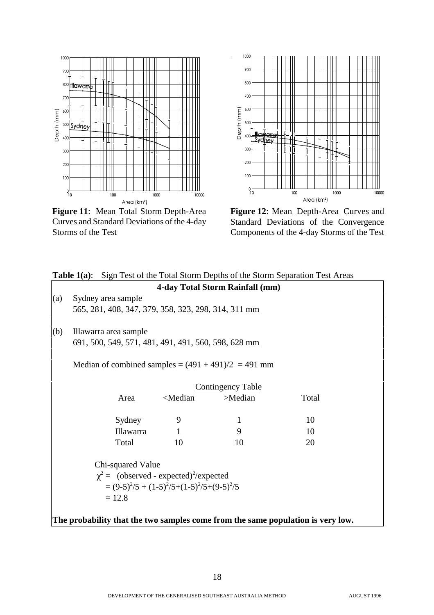

**Figure 11**: Mean Total Storm Depth-Area Curves and Standard Deviations of the 4-day Storms of the Test



**Figure 12**: Mean Depth-Area Curves and Standard Deviations of the Convergence Components of the 4-day Storms of the Test

| Sign Test of the Total Storm Depths of the Storm Separation Test Areas<br>Table $1(a)$ : |                                                                                 |                                                     |                                                            |                                                       |       |  |  |
|------------------------------------------------------------------------------------------|---------------------------------------------------------------------------------|-----------------------------------------------------|------------------------------------------------------------|-------------------------------------------------------|-------|--|--|
|                                                                                          | 4-day Total Storm Rainfall (mm)                                                 |                                                     |                                                            |                                                       |       |  |  |
| (a)                                                                                      | Sydney area sample                                                              |                                                     |                                                            |                                                       |       |  |  |
|                                                                                          |                                                                                 | 565, 281, 408, 347, 379, 358, 323, 298, 314, 311 mm |                                                            |                                                       |       |  |  |
| (b)                                                                                      |                                                                                 | Illawarra area sample                               |                                                            |                                                       |       |  |  |
|                                                                                          |                                                                                 | 691, 500, 549, 571, 481, 491, 491, 560, 598, 628 mm |                                                            |                                                       |       |  |  |
|                                                                                          |                                                                                 |                                                     |                                                            | Median of combined samples = $(491 + 491)/2 = 491$ mm |       |  |  |
|                                                                                          |                                                                                 |                                                     |                                                            | <b>Contingency Table</b>                              |       |  |  |
|                                                                                          |                                                                                 | Area                                                | <median< td=""><td>&gt;Median</td><td>Total</td></median<> | >Median                                               | Total |  |  |
|                                                                                          |                                                                                 | Sydney                                              | 9                                                          | 1                                                     | 10    |  |  |
|                                                                                          |                                                                                 | <b>Illawarra</b>                                    | $\mathbf{1}$                                               | 9                                                     | 10    |  |  |
|                                                                                          |                                                                                 | Total                                               | 10                                                         | 10                                                    | 20    |  |  |
|                                                                                          | Chi-squared Value                                                               |                                                     |                                                            |                                                       |       |  |  |
|                                                                                          | $\chi^2$ = (observed - expected) <sup>2</sup> /expected                         |                                                     |                                                            |                                                       |       |  |  |
|                                                                                          | $=(9-5)^{2}/5+(1-5)^{2}/5+(1-5)^{2}/5+(9-5)^{2}/5$                              |                                                     |                                                            |                                                       |       |  |  |
|                                                                                          | $= 12.8$                                                                        |                                                     |                                                            |                                                       |       |  |  |
|                                                                                          |                                                                                 |                                                     |                                                            |                                                       |       |  |  |
|                                                                                          | The probability that the two samples come from the same population is very low. |                                                     |                                                            |                                                       |       |  |  |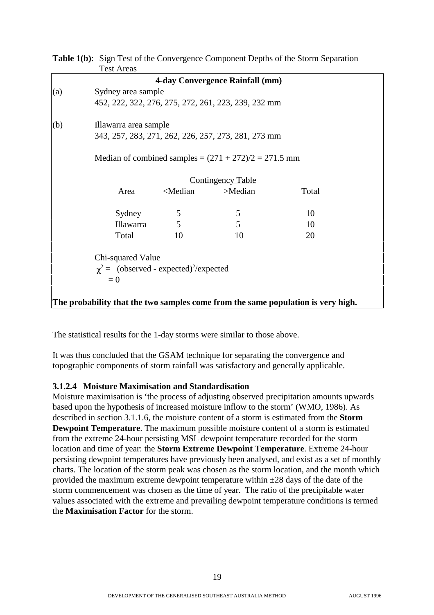**Table 1(b)**: Sign Test of the Convergence Component Depths of the Storm Separation Test Areas

|     |                                                                                  |                                                                     | 4-day Convergence Rainfall (mm)                     |       |  |  |  |  |
|-----|----------------------------------------------------------------------------------|---------------------------------------------------------------------|-----------------------------------------------------|-------|--|--|--|--|
| (a) |                                                                                  | Sydney area sample                                                  |                                                     |       |  |  |  |  |
|     |                                                                                  |                                                                     | 452, 222, 322, 276, 275, 272, 261, 223, 239, 232 mm |       |  |  |  |  |
| (b) | Illawarra area sample                                                            |                                                                     |                                                     |       |  |  |  |  |
|     |                                                                                  | 343, 257, 283, 271, 262, 226, 257, 273, 281, 273 mm                 |                                                     |       |  |  |  |  |
|     |                                                                                  | Median of combined samples = $(271 + 272)/2 = 271.5$ mm             |                                                     |       |  |  |  |  |
|     |                                                                                  |                                                                     | <b>Contingency Table</b>                            |       |  |  |  |  |
|     | Area                                                                             | <median< td=""><td>&gt;Median</td><td>Total</td><td></td></median<> | >Median                                             | Total |  |  |  |  |
|     | Sydney                                                                           | 5                                                                   | 5                                                   | 10    |  |  |  |  |
|     | Illawarra                                                                        | 5                                                                   | 5                                                   | 10    |  |  |  |  |
|     | Total                                                                            | 10                                                                  | 10                                                  | 20    |  |  |  |  |
|     | Chi-squared Value                                                                |                                                                     |                                                     |       |  |  |  |  |
|     |                                                                                  | $\chi^2$ = (observed - expected) <sup>2</sup> /expected             |                                                     |       |  |  |  |  |
|     | $= 0$                                                                            |                                                                     |                                                     |       |  |  |  |  |
|     |                                                                                  |                                                                     |                                                     |       |  |  |  |  |
|     | The probability that the two samples come from the same population is very high. |                                                                     |                                                     |       |  |  |  |  |

The statistical results for the 1-day storms were similar to those above.

It was thus concluded that the GSAM technique for separating the convergence and topographic components of storm rainfall was satisfactory and generally applicable.

#### **3.1.2.4 Moisture Maximisation and Standardisation**

Moisture maximisation is 'the process of adjusting observed precipitation amounts upwards based upon the hypothesis of increased moisture inflow to the storm' (WMO, 1986). As described in section 3.1.1.6, the moisture content of a storm is estimated from the **Storm Dewpoint Temperature**. The maximum possible moisture content of a storm is estimated from the extreme 24-hour persisting MSL dewpoint temperature recorded for the storm location and time of year: the **Storm Extreme Dewpoint Temperature**. Extreme 24-hour persisting dewpoint temperatures have previously been analysed, and exist as a set of monthly charts. The location of the storm peak was chosen as the storm location, and the month which provided the maximum extreme dewpoint temperature within ±28 days of the date of the storm commencement was chosen as the time of year. The ratio of the precipitable water values associated with the extreme and prevailing dewpoint temperature conditions is termed the **Maximisation Factor** for the storm.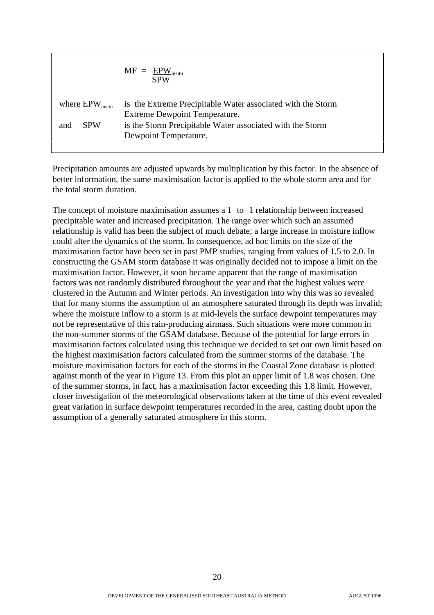$$
MF = \frac{EPW_{\text{insitu}}}{SPW}
$$
\nwhere EPW<sub>insitu</sub> is the Extreme Precipitable Water associated with the Storm  
\nExtreme Dewpoint Temperature.

\nand SPW is the Storm Precipitable Water associated with the Storm  
\nDewpoint Temperature.

Precipitation amounts are adjusted upwards by multiplication by this factor. In the absence of better information, the same maximisation factor is applied to the whole storm area and for the total storm duration.

The concept of moisture maximisation assumes a  $1-to-1$  relationship between increased precipitable water and increased precipitation. The range over which such an assumed relationship is valid has been the subject of much debate; a large increase in moisture inflow could alter the dynamics of the storm. In consequence, ad hoc limits on the size of the maximisation factor have been set in past PMP studies, ranging from values of 1.5 to 2.0. In constructing the GSAM storm database it was originally decided not to impose a limit on the maximisation factor. However, it soon became apparent that the range of maximisation factors was not randomly distributed throughout the year and that the highest values were clustered in the Autumn and Winter periods. An investigation into why this was so revealed that for many storms the assumption of an atmosphere saturated through its depth was invalid; where the moisture inflow to a storm is at mid-levels the surface dewpoint temperatures may not be representative of this rain-producing airmass. Such situations were more common in the non-summer storms of the GSAM database. Because of the potential for large errors in maximisation factors calculated using this technique we decided to set our own limit based on the highest maximisation factors calculated from the summer storms of the database. The moisture maximisation factors for each of the storms in the Coastal Zone database is plotted against month of the year in Figure 13. From this plot an upper limit of 1.8 was chosen. One of the summer storms, in fact, has a maximisation factor exceeding this 1.8 limit. However, closer investigation of the meteorological observations taken at the time of this event revealed great variation in surface dewpoint temperatures recorded in the area, casting doubt upon the assumption of a generally saturated atmosphere in this storm.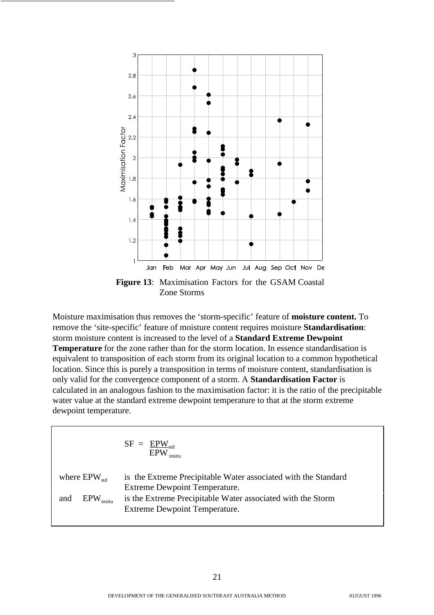

Moisture maximisation thus removes the 'storm-specific' feature of **moisture content.** To remove the 'site-specific' feature of moisture content requires moisture **Standardisation**: storm moisture content is increased to the level of a **Standard Extreme Dewpoint Temperature** for the zone rather than for the storm location. In essence standardisation is equivalent to transposition of each storm from its original location to a common hypothetical location. Since this is purely a transposition in terms of moisture content, standardisation is only valid for the convergence component of a storm. A **Standardisation Factor** is calculated in an analogous fashion to the maximisation factor: it is the ratio of the precipitable water value at the standard extreme dewpoint temperature to that at the storm extreme dewpoint temperature.

$$
SF = \frac{EPW_{std}}{EPW_{initial}}
$$
  
where  $EPW_{std}$  is the Extreme Precipitable Water associated with the Standard  
Extreme Dewpoint Temperature.  
and  $EPW_{insitu}$  is the Extreme Precipitable Water associated with the Storm  
Extreme Dewpoint Temperature.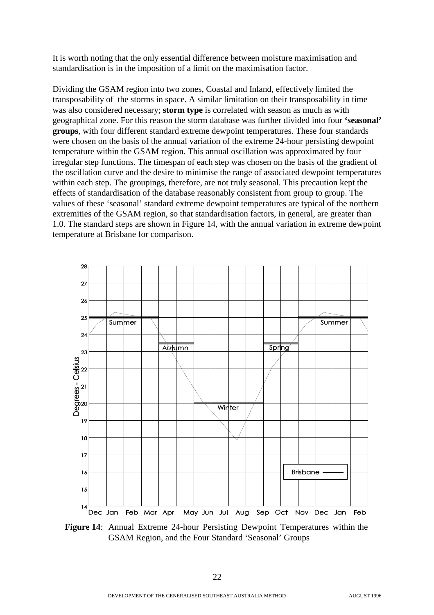It is worth noting that the only essential difference between moisture maximisation and standardisation is in the imposition of a limit on the maximisation factor.

Dividing the GSAM region into two zones, Coastal and Inland, effectively limited the transposability of the storms in space. A similar limitation on their transposability in time was also considered necessary; **storm type** is correlated with season as much as with geographical zone. For this reason the storm database was further divided into four **'seasonal' groups**, with four different standard extreme dewpoint temperatures. These four standards were chosen on the basis of the annual variation of the extreme 24-hour persisting dewpoint temperature within the GSAM region. This annual oscillation was approximated by four irregular step functions. The timespan of each step was chosen on the basis of the gradient of the oscillation curve and the desire to minimise the range of associated dewpoint temperatures within each step. The groupings, therefore, are not truly seasonal. This precaution kept the effects of standardisation of the database reasonably consistent from group to group. The values of these 'seasonal' standard extreme dewpoint temperatures are typical of the northern extremities of the GSAM region, so that standardisation factors, in general, are greater than 1.0. The standard steps are shown in Figure 14, with the annual variation in extreme dewpoint temperature at Brisbane for comparison.



**Figure 14**: Annual Extreme 24-hour Persisting Dewpoint Temperatures within the GSAM Region, and the Four Standard 'Seasonal' Groups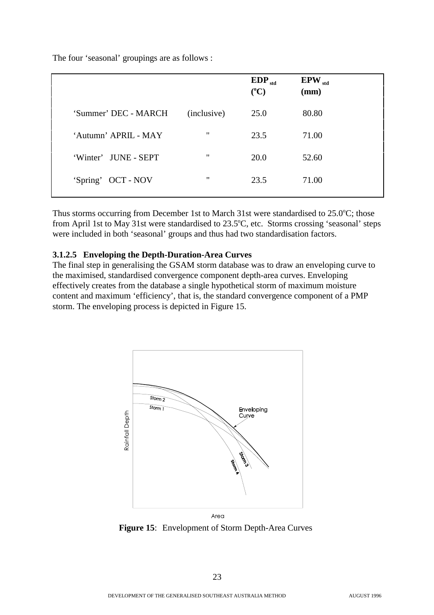The four 'seasonal' groupings are as follows :

|                      |                   | $EDP_{std}$<br>$(^{\circ}C)$ | $EPW_{std}$<br>(mm) |  |
|----------------------|-------------------|------------------------------|---------------------|--|
| 'Summer' DEC - MARCH | (inclusive)       | 25.0                         | 80.80               |  |
| 'Autumn' APRIL - MAY | $^{\prime\prime}$ | 23.5                         | 71.00               |  |
| 'Winter' JUNE - SEPT | $^{\prime\prime}$ | 20.0                         | 52.60               |  |
| 'Spring' OCT - NOV   | $^{\prime\prime}$ | 23.5                         | 71.00               |  |

Thus storms occurring from December 1st to March 31st were standardised to 25.0°C; those from April 1st to May 31st were standardised to 23.5°C, etc. Storms crossing 'seasonal' steps were included in both 'seasonal' groups and thus had two standardisation factors.

#### **3.1.2.5 Enveloping the Depth-Duration-Area Curves**

The final step in generalising the GSAM storm database was to draw an enveloping curve to the maximised, standardised convergence component depth-area curves. Enveloping effectively creates from the database a single hypothetical storm of maximum moisture content and maximum 'efficiency', that is, the standard convergence component of a PMP storm. The enveloping process is depicted in Figure 15.



**Figure 15**: Envelopment of Storm Depth-Area Curves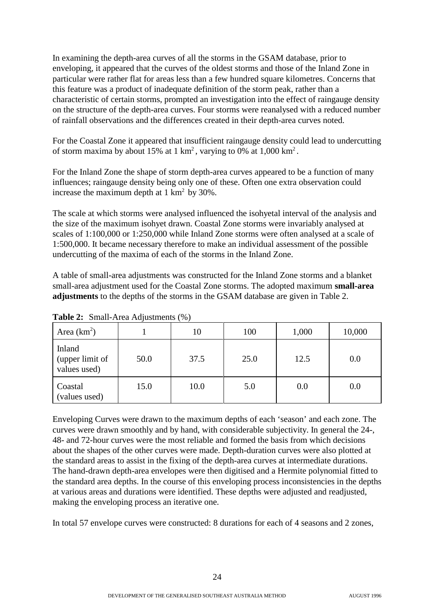In examining the depth-area curves of all the storms in the GSAM database, prior to enveloping, it appeared that the curves of the oldest storms and those of the Inland Zone in particular were rather flat for areas less than a few hundred square kilometres. Concerns that this feature was a product of inadequate definition of the storm peak, rather than a characteristic of certain storms, prompted an investigation into the effect of raingauge density on the structure of the depth-area curves. Four storms were reanalysed with a reduced number of rainfall observations and the differences created in their depth-area curves noted.

For the Coastal Zone it appeared that insufficient raingauge density could lead to undercutting of storm maxima by about 15% at 1 km<sup>2</sup>, varying to 0% at  $1,000 \text{ km}^2$ .

For the Inland Zone the shape of storm depth-area curves appeared to be a function of many influences; raingauge density being only one of these. Often one extra observation could increase the maximum depth at  $1 \text{ km}^2$  by 30%.

The scale at which storms were analysed influenced the isohyetal interval of the analysis and the size of the maximum isohyet drawn. Coastal Zone storms were invariably analysed at scales of 1:100,000 or 1:250,000 while Inland Zone storms were often analysed at a scale of 1:500,000. It became necessary therefore to make an individual assessment of the possible undercutting of the maxima of each of the storms in the Inland Zone.

A table of small-area adjustments was constructed for the Inland Zone storms and a blanket small-area adjustment used for the Coastal Zone storms. The adopted maximum **small-area adjustments** to the depths of the storms in the GSAM database are given in Table 2.

| Area $(km^2)$                             |      | 10   | 100  | 1,000 | 10,000 |
|-------------------------------------------|------|------|------|-------|--------|
| Inland<br>(upper limit of<br>values used) | 50.0 | 37.5 | 25.0 | 12.5  | 0.0    |
| Coastal<br>(values used)                  | 15.0 | 10.0 | 5.0  | 0.0   | 0.0    |

**Table 2:** Small-Area Adjustments (%)

Enveloping Curves were drawn to the maximum depths of each 'season' and each zone. The curves were drawn smoothly and by hand, with considerable subjectivity. In general the 24-, 48- and 72-hour curves were the most reliable and formed the basis from which decisions about the shapes of the other curves were made. Depth-duration curves were also plotted at the standard areas to assist in the fixing of the depth-area curves at intermediate durations. The hand-drawn depth-area envelopes were then digitised and a Hermite polynomial fitted to the standard area depths. In the course of this enveloping process inconsistencies in the depths at various areas and durations were identified. These depths were adjusted and readjusted, making the enveloping process an iterative one.

In total 57 envelope curves were constructed: 8 durations for each of 4 seasons and 2 zones,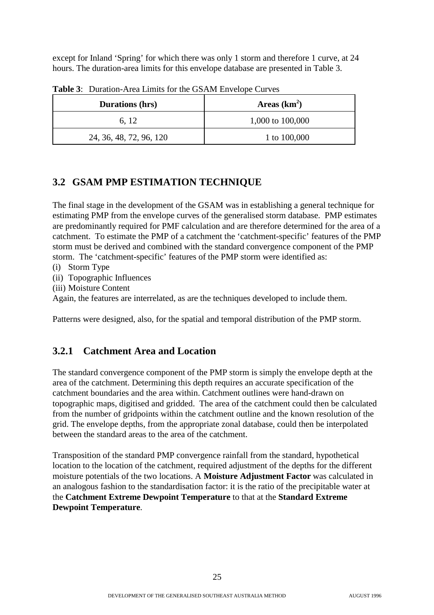except for Inland 'Spring' for which there was only 1 storm and therefore 1 curve, at 24 hours. The duration-area limits for this envelope database are presented in Table 3.

| <b>Durations (hrs)</b>  | Areas $(km2)$    |
|-------------------------|------------------|
| 6, 12                   | 1,000 to 100,000 |
| 24, 36, 48, 72, 96, 120 | 1 to 100,000     |

**Table 3**: Duration-Area Limits for the GSAM Envelope Curves

## **3.2 GSAM PMP ESTIMATION TECHNIQUE**

The final stage in the development of the GSAM was in establishing a general technique for estimating PMP from the envelope curves of the generalised storm database. PMP estimates are predominantly required for PMF calculation and are therefore determined for the area of a catchment. To estimate the PMP of a catchment the 'catchment-specific' features of the PMP storm must be derived and combined with the standard convergence component of the PMP storm. The 'catchment-specific' features of the PMP storm were identified as:

- (i) Storm Type
- (ii) Topographic Influences
- (iii) Moisture Content

Again, the features are interrelated, as are the techniques developed to include them.

Patterns were designed, also, for the spatial and temporal distribution of the PMP storm.

## **3.2.1 Catchment Area and Location**

The standard convergence component of the PMP storm is simply the envelope depth at the area of the catchment. Determining this depth requires an accurate specification of the catchment boundaries and the area within. Catchment outlines were hand-drawn on topographic maps, digitised and gridded. The area of the catchment could then be calculated from the number of gridpoints within the catchment outline and the known resolution of the grid. The envelope depths, from the appropriate zonal database, could then be interpolated between the standard areas to the area of the catchment.

Transposition of the standard PMP convergence rainfall from the standard, hypothetical location to the location of the catchment, required adjustment of the depths for the different moisture potentials of the two locations. A **Moisture Adjustment Factor** was calculated in an analogous fashion to the standardisation factor: it is the ratio of the precipitable water at the **Catchment Extreme Dewpoint Temperature** to that at the **Standard Extreme Dewpoint Temperature**.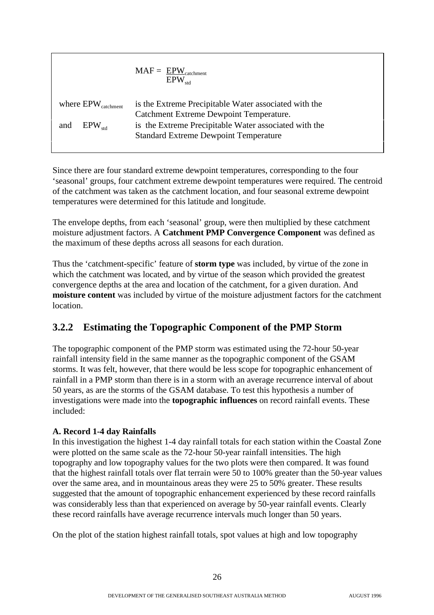$$
MAF = \frac{EPW_{\text{catchment}}}{EPW_{\text{std}}}
$$
\nwhere EPW\_{\text{catchment}}

\nis the Extreme Precipitable Water associated with the  
\nCatchment Extreme Dewpoint Temperature.

\nand  $EPW_{\text{std}}$ 

\nis the Extreme Precipitable Water associated with the  
\nStandard Extreme Dewpoint Temperature

Since there are four standard extreme dewpoint temperatures, corresponding to the four 'seasonal' groups, four catchment extreme dewpoint temperatures were required. The centroid of the catchment was taken as the catchment location, and four seasonal extreme dewpoint temperatures were determined for this latitude and longitude.

The envelope depths, from each 'seasonal' group, were then multiplied by these catchment moisture adjustment factors. A **Catchment PMP Convergence Component** was defined as the maximum of these depths across all seasons for each duration.

Thus the 'catchment-specific' feature of **storm type** was included, by virtue of the zone in which the catchment was located, and by virtue of the season which provided the greatest convergence depths at the area and location of the catchment, for a given duration. And **moisture content** was included by virtue of the moisture adjustment factors for the catchment location.

## **3.2.2 Estimating the Topographic Component of the PMP Storm**

The topographic component of the PMP storm was estimated using the 72-hour 50-year rainfall intensity field in the same manner as the topographic component of the GSAM storms. It was felt, however, that there would be less scope for topographic enhancement of rainfall in a PMP storm than there is in a storm with an average recurrence interval of about 50 years, as are the storms of the GSAM database. To test this hypothesis a number of investigations were made into the **topographic influences** on record rainfall events. These included:

#### **A. Record 1-4 day Rainfalls**

In this investigation the highest 1-4 day rainfall totals for each station within the Coastal Zone were plotted on the same scale as the 72-hour 50-year rainfall intensities. The high topography and low topography values for the two plots were then compared. It was found that the highest rainfall totals over flat terrain were 50 to 100% greater than the 50-year values over the same area, and in mountainous areas they were 25 to 50% greater. These results suggested that the amount of topographic enhancement experienced by these record rainfalls was considerably less than that experienced on average by 50-year rainfall events. Clearly these record rainfalls have average recurrence intervals much longer than 50 years.

On the plot of the station highest rainfall totals, spot values at high and low topography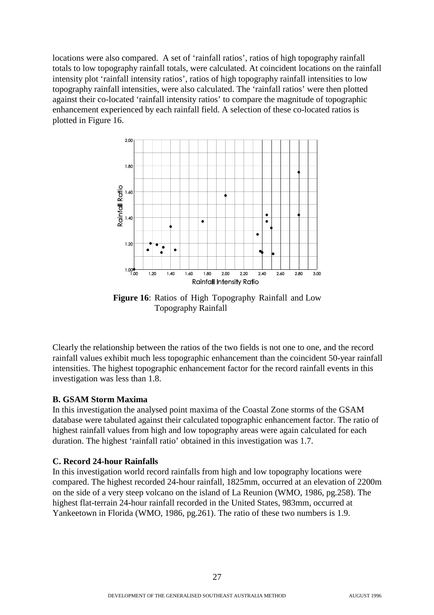locations were also compared. A set of 'rainfall ratios', ratios of high topography rainfall totals to low topography rainfall totals, were calculated. At coincident locations on the rainfall intensity plot 'rainfall intensity ratios', ratios of high topography rainfall intensities to low topography rainfall intensities, were also calculated. The 'rainfall ratios' were then plotted against their co-located 'rainfall intensity ratios' to compare the magnitude of topographic enhancement experienced by each rainfall field. A selection of these co-located ratios is plotted in Figure 16.



**Figure 16**: Ratios of High Topography Rainfall and Low Topography Rainfall

Clearly the relationship between the ratios of the two fields is not one to one, and the record rainfall values exhibit much less topographic enhancement than the coincident 50-year rainfall intensities. The highest topographic enhancement factor for the record rainfall events in this investigation was less than 1.8.

#### **B. GSAM Storm Maxima**

In this investigation the analysed point maxima of the Coastal Zone storms of the GSAM database were tabulated against their calculated topographic enhancement factor. The ratio of highest rainfall values from high and low topography areas were again calculated for each duration. The highest 'rainfall ratio' obtained in this investigation was 1.7.

#### **C. Record 24-hour Rainfalls**

In this investigation world record rainfalls from high and low topography locations were compared. The highest recorded 24-hour rainfall, 1825mm, occurred at an elevation of 2200m on the side of a very steep volcano on the island of La Reunion (WMO, 1986, pg.258). The highest flat-terrain 24-hour rainfall recorded in the United States, 983mm, occurred at Yankeetown in Florida (WMO, 1986, pg.261). The ratio of these two numbers is 1.9.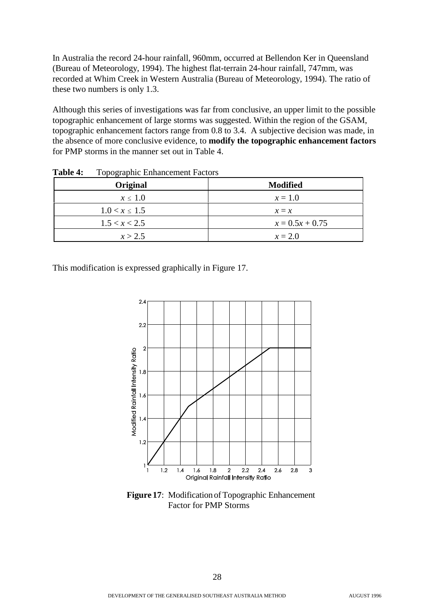In Australia the record 24-hour rainfall, 960mm, occurred at Bellendon Ker in Queensland (Bureau of Meteorology, 1994). The highest flat-terrain 24-hour rainfall, 747mm, was recorded at Whim Creek in Western Australia (Bureau of Meteorology, 1994). The ratio of these two numbers is only 1.3.

Although this series of investigations was far from conclusive, an upper limit to the possible topographic enhancement of large storms was suggested. Within the region of the GSAM, topographic enhancement factors range from 0.8 to 3.4. A subjective decision was made, in the absence of more conclusive evidence, to **modify the topographic enhancement factors** for PMP storms in the manner set out in Table 4.

| Original           | <b>Modified</b>   |
|--------------------|-------------------|
| $x \leq 1.0$       | $x = 1.0$         |
| $1.0 < x \leq 1.5$ | $x = x$           |
| 1.5 < x < 2.5      | $x = 0.5x + 0.75$ |
| x > 2.5            | $x = 2.0$         |

**Table 4:** Topographic Enhancement Factors

This modification is expressed graphically in Figure 17.



**Figure 17**: Modification of Topographic Enhancement Factor for PMP Storms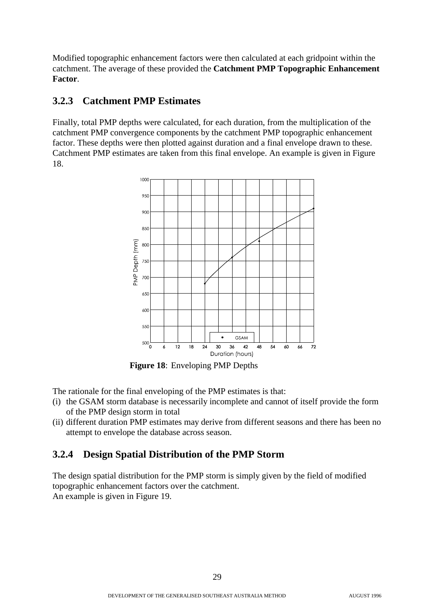Modified topographic enhancement factors were then calculated at each gridpoint within the catchment. The average of these provided the **Catchment PMP Topographic Enhancement Factor**.

## **3.2.3 Catchment PMP Estimates**

Finally, total PMP depths were calculated, for each duration, from the multiplication of the catchment PMP convergence components by the catchment PMP topographic enhancement factor. These depths were then plotted against duration and a final envelope drawn to these. Catchment PMP estimates are taken from this final envelope. An example is given in Figure 18.



**Figure 18**: Enveloping PMP Depths

The rationale for the final enveloping of the PMP estimates is that:

- (i) the GSAM storm database is necessarily incomplete and cannot of itself provide the form of the PMP design storm in total
- (ii) different duration PMP estimates may derive from different seasons and there has been no attempt to envelope the database across season.

## **3.2.4 Design Spatial Distribution of the PMP Storm**

The design spatial distribution for the PMP storm is simply given by the field of modified topographic enhancement factors over the catchment. An example is given in Figure 19.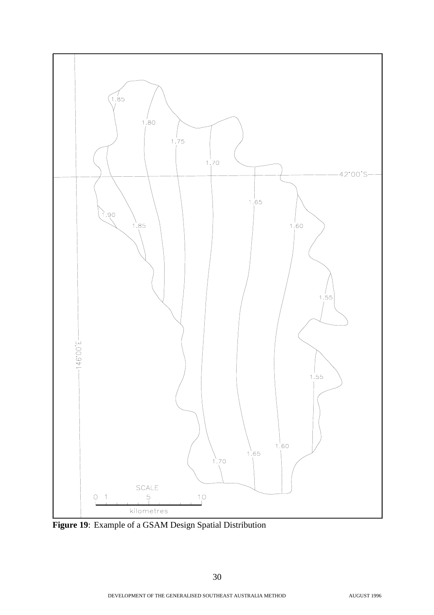

**Figure 19**: Example of a GSAM Design Spatial Distribution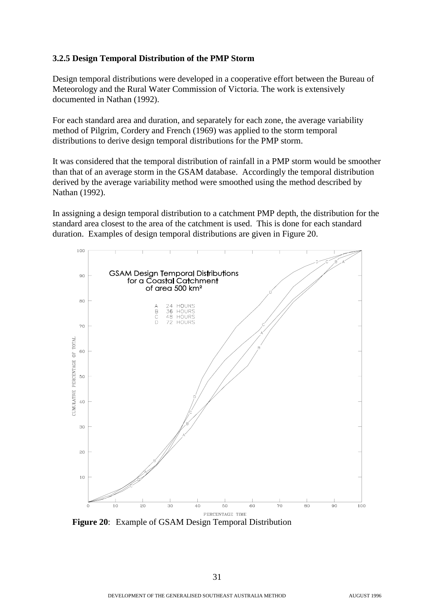#### **3.2.5 Design Temporal Distribution of the PMP Storm**

Design temporal distributions were developed in a cooperative effort between the Bureau of Meteorology and the Rural Water Commission of Victoria. The work is extensively documented in Nathan (1992).

For each standard area and duration, and separately for each zone, the average variability method of Pilgrim, Cordery and French (1969) was applied to the storm temporal distributions to derive design temporal distributions for the PMP storm.

It was considered that the temporal distribution of rainfall in a PMP storm would be smoother than that of an average storm in the GSAM database. Accordingly the temporal distribution derived by the average variability method were smoothed using the method described by Nathan (1992).

In assigning a design temporal distribution to a catchment PMP depth, the distribution for the standard area closest to the area of the catchment is used. This is done for each standard duration. Examples of design temporal distributions are given in Figure 20.



**Figure 20**: Example of GSAM Design Temporal Distribution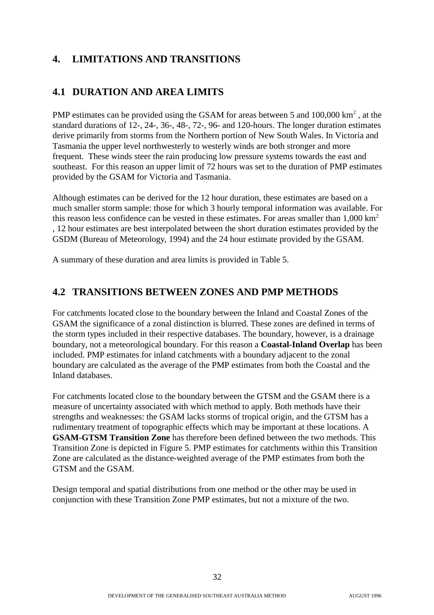## **4. LIMITATIONS AND TRANSITIONS**

## **4.1 DURATION AND AREA LIMITS**

PMP estimates can be provided using the GSAM for areas between 5 and  $100,000 \text{ km}^2$ , at the standard durations of 12-, 24-, 36-, 48-, 72-, 96- and 120-hours. The longer duration estimates derive primarily from storms from the Northern portion of New South Wales. In Victoria and Tasmania the upper level northwesterly to westerly winds are both stronger and more frequent. These winds steer the rain producing low pressure systems towards the east and southeast. For this reason an upper limit of 72 hours was set to the duration of PMP estimates provided by the GSAM for Victoria and Tasmania.

Although estimates can be derived for the 12 hour duration, these estimates are based on a much smaller storm sample: those for which 3 hourly temporal information was available. For this reason less confidence can be vested in these estimates. For areas smaller than  $1,000 \text{ km}^2$ , 12 hour estimates are best interpolated between the short duration estimates provided by the GSDM (Bureau of Meteorology, 1994) and the 24 hour estimate provided by the GSAM.

A summary of these duration and area limits is provided in Table 5.

## **4.2 TRANSITIONS BETWEEN ZONES AND PMP METHODS**

For catchments located close to the boundary between the Inland and Coastal Zones of the GSAM the significance of a zonal distinction is blurred. These zones are defined in terms of the storm types included in their respective databases. The boundary, however, is a drainage boundary, not a meteorological boundary. For this reason a **Coastal-Inland Overlap** has been included. PMP estimates for inland catchments with a boundary adjacent to the zonal boundary are calculated as the average of the PMP estimates from both the Coastal and the Inland databases.

For catchments located close to the boundary between the GTSM and the GSAM there is a measure of uncertainty associated with which method to apply. Both methods have their strengths and weaknesses: the GSAM lacks storms of tropical origin, and the GTSM has a rudimentary treatment of topographic effects which may be important at these locations. A **GSAM-GTSM Transition Zone** has therefore been defined between the two methods. This Transition Zone is depicted in Figure 5. PMP estimates for catchments within this Transition Zone are calculated as the distance-weighted average of the PMP estimates from both the GTSM and the GSAM.

Design temporal and spatial distributions from one method or the other may be used in conjunction with these Transition Zone PMP estimates, but not a mixture of the two.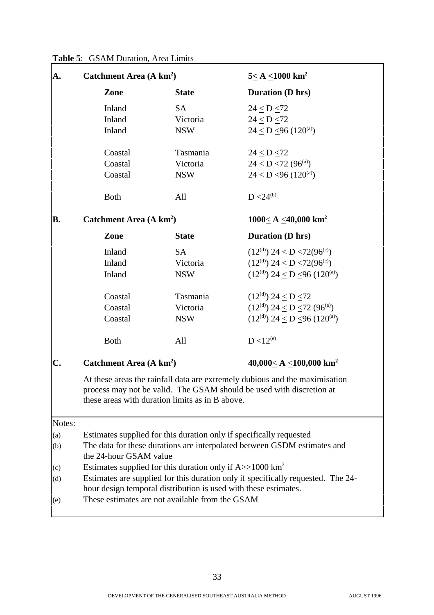|  | Table 5: GSAM Duration, Area Limits |  |
|--|-------------------------------------|--|
|--|-------------------------------------|--|

| A.        | Catchment Area (A km <sup>2</sup> )                                                                |                                                                         | $5 \leq A \leq 1000$ km <sup>2</sup>                                                                                                                |  |
|-----------|----------------------------------------------------------------------------------------------------|-------------------------------------------------------------------------|-----------------------------------------------------------------------------------------------------------------------------------------------------|--|
|           | Zone                                                                                               | <b>State</b>                                                            | <b>Duration (D hrs)</b>                                                                                                                             |  |
|           | Inland                                                                                             | <b>SA</b>                                                               | $24 \le D \le 72$                                                                                                                                   |  |
|           | Inland                                                                                             | Victoria                                                                | 24 < D < 72                                                                                                                                         |  |
|           | Inland                                                                                             | <b>NSW</b>                                                              | $24 \le D \le 96 (120^{\text{(a)}})$                                                                                                                |  |
|           | Coastal                                                                                            | Tasmania                                                                | 24 < D < 72                                                                                                                                         |  |
|           | Coastal                                                                                            | Victoria                                                                | $24 \le D \le 72 (96^{\text{(a)}})$                                                                                                                 |  |
|           | Coastal                                                                                            | <b>NSW</b>                                                              | $24 < D < 96 (120^{\text{(a)}})$                                                                                                                    |  |
|           | <b>Both</b>                                                                                        | All                                                                     | $D < 24^{(b)}$                                                                                                                                      |  |
| <b>B.</b> | Catchment Area (A km <sup>2</sup> )                                                                |                                                                         | 1000< A <40,000 km <sup>2</sup>                                                                                                                     |  |
|           | Zone                                                                                               | <b>State</b>                                                            | <b>Duration (D hrs)</b>                                                                                                                             |  |
|           | Inland                                                                                             | <b>SA</b>                                                               | $(12^{(d)})$ 24 < D $\leq$ 72(96 <sup>(c)</sup> )                                                                                                   |  |
|           | Inland                                                                                             | Victoria                                                                | $(12(d))$ 24 < D < 72(96 <sup>(c)</sup> )                                                                                                           |  |
|           | Inland<br><b>NSW</b>                                                                               |                                                                         | $(12(d))$ 24 < D < 96 $(120(a))$                                                                                                                    |  |
|           | Coastal                                                                                            | Tasmania                                                                | $(12(d))$ 24 < D < 72                                                                                                                               |  |
|           | Coastal                                                                                            | Victoria                                                                | $(12(d))$ 24 < D < 72 (96 <sup>(a)</sup> )                                                                                                          |  |
|           | Coastal                                                                                            | <b>NSW</b>                                                              | $(12(d))$ 24 < D < 96 $(120(a))$                                                                                                                    |  |
|           | <b>Both</b>                                                                                        | All                                                                     | $D < 12^{(e)}$                                                                                                                                      |  |
| C.        | Catchment Area (A km <sup>2</sup> )                                                                |                                                                         | 40,000< A < 100,000 km <sup>2</sup>                                                                                                                 |  |
|           |                                                                                                    | these areas with duration limits as in B above.                         | At these areas the rainfall data are extremely dubious and the maximisation<br>process may not be valid. The GSAM should be used with discretion at |  |
| Notes:    |                                                                                                    |                                                                         |                                                                                                                                                     |  |
| (a)       |                                                                                                    |                                                                         | Estimates supplied for this duration only if specifically requested                                                                                 |  |
| (b)       | The data for these durations are interpolated between GSDM estimates and<br>the 24-hour GSAM value |                                                                         |                                                                                                                                                     |  |
| (c)       |                                                                                                    | Estimates supplied for this duration only if $A$ >>1000 km <sup>2</sup> |                                                                                                                                                     |  |
| (d)       |                                                                                                    | hour design temporal distribution is used with these estimates.         | Estimates are supplied for this duration only if specifically requested. The 24-                                                                    |  |
| (e)       | These estimates are not available from the GSAM                                                    |                                                                         |                                                                                                                                                     |  |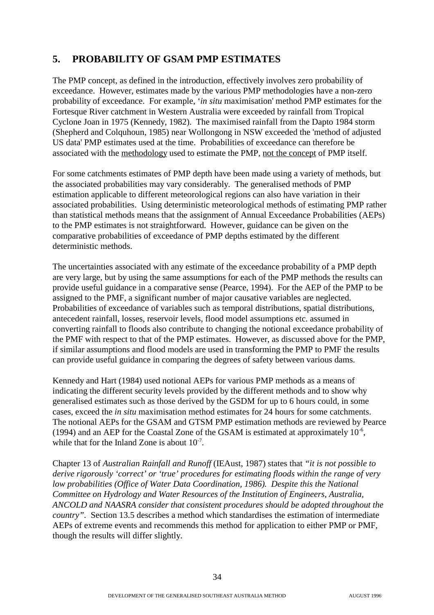## **5. PROBABILITY OF GSAM PMP ESTIMATES**

The PMP concept, as defined in the introduction, effectively involves zero probability of exceedance. However, estimates made by the various PMP methodologies have a non-zero probability of exceedance. For example, '*in situ* maximisation' method PMP estimates for the Fortesque River catchment in Western Australia were exceeded by rainfall from Tropical Cyclone Joan in 1975 (Kennedy, 1982). The maximised rainfall from the Dapto 1984 storm (Shepherd and Colquhoun, 1985) near Wollongong in NSW exceeded the 'method of adjusted US data' PMP estimates used at the time. Probabilities of exceedance can therefore be associated with the methodology used to estimate the PMP, not the concept of PMP itself.

For some catchments estimates of PMP depth have been made using a variety of methods, but the associated probabilities may vary considerably. The generalised methods of PMP estimation applicable to different meteorological regions can also have variation in their associated probabilities. Using deterministic meteorological methods of estimating PMP rather than statistical methods means that the assignment of Annual Exceedance Probabilities (AEPs) to the PMP estimates is not straightforward. However, guidance can be given on the comparative probabilities of exceedance of PMP depths estimated by the different deterministic methods.

The uncertainties associated with any estimate of the exceedance probability of a PMP depth are very large, but by using the same assumptions for each of the PMP methods the results can provide useful guidance in a comparative sense (Pearce, 1994). For the AEP of the PMP to be assigned to the PMF, a significant number of major causative variables are neglected. Probabilities of exceedance of variables such as temporal distributions, spatial distributions, antecedent rainfall, losses, reservoir levels, flood model assumptions etc. assumed in converting rainfall to floods also contribute to changing the notional exceedance probability of the PMF with respect to that of the PMP estimates. However, as discussed above for the PMP, if similar assumptions and flood models are used in transforming the PMP to PMF the results can provide useful guidance in comparing the degrees of safety between various dams.

Kennedy and Hart (1984) used notional AEPs for various PMP methods as a means of indicating the different security levels provided by the different methods and to show why generalised estimates such as those derived by the GSDM for up to 6 hours could, in some cases, exceed the *in situ* maximisation method estimates for 24 hours for some catchments. The notional AEPs for the GSAM and GTSM PMP estimation methods are reviewed by Pearce (1994) and an AEP for the Coastal Zone of the GSAM is estimated at approximately  $10^{-6}$ , while that for the Inland Zone is about  $10^{-7}$ .

Chapter 13 of *Australian Rainfall and Runoff* (IEAust, 1987) states that *"it is not possible to derive rigorously 'correct' or 'true' procedures for estimating floods within the range of very low probabilities (Office of Water Data Coordination, 1986). Despite this the National Committee on Hydrology and Water Resources of the Institution of Engineers, Australia, ANCOLD and NAASRA consider that consistent procedures should be adopted throughout the country".* Section 13.5 describes a method which standardises the estimation of intermediate AEPs of extreme events and recommends this method for application to either PMP or PMF, though the results will differ slightly.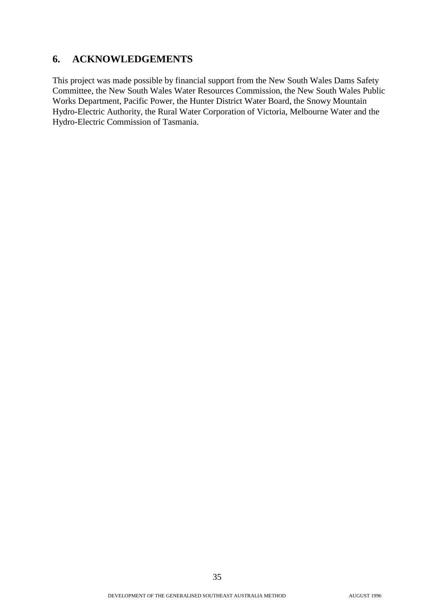## **6. ACKNOWLEDGEMENTS**

This project was made possible by financial support from the New South Wales Dams Safety Committee, the New South Wales Water Resources Commission, the New South Wales Public Works Department, Pacific Power, the Hunter District Water Board, the Snowy Mountain Hydro-Electric Authority, the Rural Water Corporation of Victoria, Melbourne Water and the Hydro-Electric Commission of Tasmania.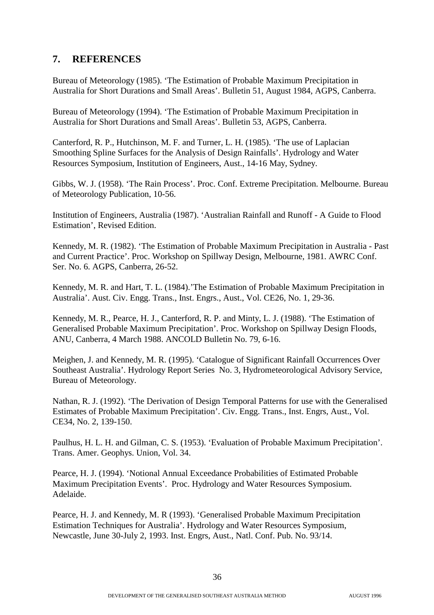## **7. REFERENCES**

Bureau of Meteorology (1985). 'The Estimation of Probable Maximum Precipitation in Australia for Short Durations and Small Areas'. Bulletin 51, August 1984, AGPS, Canberra.

Bureau of Meteorology (1994). 'The Estimation of Probable Maximum Precipitation in Australia for Short Durations and Small Areas'. Bulletin 53, AGPS, Canberra.

Canterford, R. P., Hutchinson, M. F. and Turner, L. H. (1985). 'The use of Laplacian Smoothing Spline Surfaces for the Analysis of Design Rainfalls'. Hydrology and Water Resources Symposium, Institution of Engineers, Aust., 14-16 May, Sydney.

Gibbs, W. J. (1958). 'The Rain Process'. Proc. Conf. Extreme Precipitation. Melbourne. Bureau of Meteorology Publication, 10-56.

Institution of Engineers, Australia (1987). 'Australian Rainfall and Runoff - A Guide to Flood Estimation', Revised Edition.

Kennedy, M. R. (1982). 'The Estimation of Probable Maximum Precipitation in Australia - Past and Current Practice'. Proc. Workshop on Spillway Design, Melbourne, 1981. AWRC Conf. Ser. No. 6. AGPS, Canberra, 26-52.

Kennedy, M. R. and Hart, T. L. (1984).'The Estimation of Probable Maximum Precipitation in Australia'. Aust. Civ. Engg. Trans., Inst. Engrs., Aust., Vol. CE26, No. 1, 29-36.

Kennedy, M. R., Pearce, H. J., Canterford, R. P. and Minty, L. J. (1988). 'The Estimation of Generalised Probable Maximum Precipitation'. Proc. Workshop on Spillway Design Floods, ANU, Canberra, 4 March 1988. ANCOLD Bulletin No. 79, 6-16.

Meighen, J. and Kennedy, M. R. (1995). 'Catalogue of Significant Rainfall Occurrences Over Southeast Australia'. Hydrology Report Series No. 3, Hydrometeorological Advisory Service, Bureau of Meteorology.

Nathan, R. J. (1992). 'The Derivation of Design Temporal Patterns for use with the Generalised Estimates of Probable Maximum Precipitation'. Civ. Engg. Trans., Inst. Engrs, Aust., Vol. CE34, No. 2, 139-150.

Paulhus, H. L. H. and Gilman, C. S. (1953). 'Evaluation of Probable Maximum Precipitation'. Trans. Amer. Geophys. Union, Vol. 34.

Pearce, H. J. (1994). 'Notional Annual Exceedance Probabilities of Estimated Probable Maximum Precipitation Events'. Proc. Hydrology and Water Resources Symposium. Adelaide.

Pearce, H. J. and Kennedy, M. R (1993). 'Generalised Probable Maximum Precipitation Estimation Techniques for Australia'. Hydrology and Water Resources Symposium, Newcastle, June 30-July 2, 1993. Inst. Engrs, Aust., Natl. Conf. Pub. No. 93/14.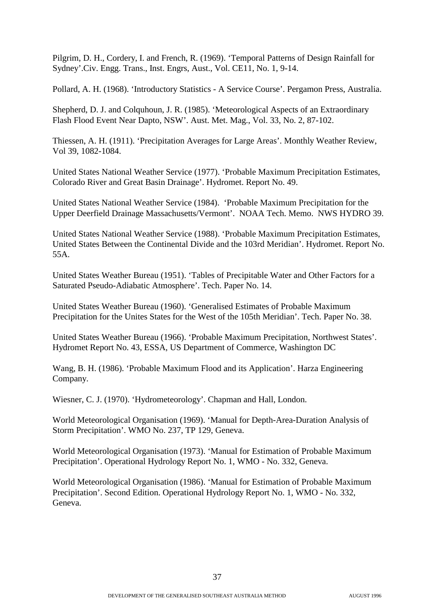Pilgrim, D. H., Cordery, I. and French, R. (1969). 'Temporal Patterns of Design Rainfall for Sydney'.Civ. Engg. Trans., Inst. Engrs, Aust., Vol. CE11, No. 1, 9-14.

Pollard, A. H. (1968). 'Introductory Statistics - A Service Course'. Pergamon Press, Australia.

Shepherd, D. J. and Colquhoun, J. R. (1985). 'Meteorological Aspects of an Extraordinary Flash Flood Event Near Dapto, NSW'. Aust. Met. Mag., Vol. 33, No. 2, 87-102.

Thiessen, A. H. (1911). 'Precipitation Averages for Large Areas'. Monthly Weather Review, Vol 39, 1082-1084.

United States National Weather Service (1977). 'Probable Maximum Precipitation Estimates, Colorado River and Great Basin Drainage'. Hydromet. Report No. 49.

United States National Weather Service (1984). 'Probable Maximum Precipitation for the Upper Deerfield Drainage Massachusetts/Vermont'. NOAA Tech. Memo. NWS HYDRO 39.

United States National Weather Service (1988). 'Probable Maximum Precipitation Estimates, United States Between the Continental Divide and the 103rd Meridian'. Hydromet. Report No. 55A.

United States Weather Bureau (1951). 'Tables of Precipitable Water and Other Factors for a Saturated Pseudo-Adiabatic Atmosphere'. Tech. Paper No. 14.

United States Weather Bureau (1960). 'Generalised Estimates of Probable Maximum Precipitation for the Unites States for the West of the 105th Meridian'. Tech. Paper No. 38.

United States Weather Bureau (1966). 'Probable Maximum Precipitation, Northwest States'. Hydromet Report No. 43, ESSA, US Department of Commerce, Washington DC

Wang, B. H. (1986). 'Probable Maximum Flood and its Application'. Harza Engineering Company.

Wiesner, C. J. (1970). 'Hydrometeorology'. Chapman and Hall, London.

World Meteorological Organisation (1969). 'Manual for Depth-Area-Duration Analysis of Storm Precipitation'. WMO No. 237, TP 129, Geneva.

World Meteorological Organisation (1973). 'Manual for Estimation of Probable Maximum Precipitation'. Operational Hydrology Report No. 1, WMO - No. 332, Geneva.

World Meteorological Organisation (1986). 'Manual for Estimation of Probable Maximum Precipitation'. Second Edition. Operational Hydrology Report No. 1, WMO - No. 332, Geneva.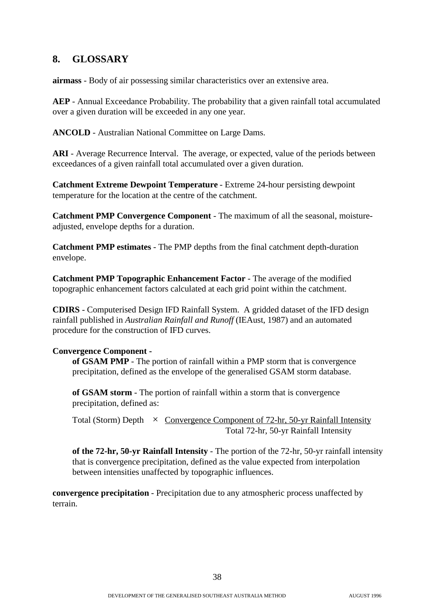## **8. GLOSSARY**

**airmass** - Body of air possessing similar characteristics over an extensive area.

**AEP** - Annual Exceedance Probability. The probability that a given rainfall total accumulated over a given duration will be exceeded in any one year.

**ANCOLD** - Australian National Committee on Large Dams.

**ARI** - Average Recurrence Interval. The average, or expected, value of the periods between exceedances of a given rainfall total accumulated over a given duration.

**Catchment Extreme Dewpoint Temperature** - Extreme 24-hour persisting dewpoint temperature for the location at the centre of the catchment.

**Catchment PMP Convergence Component** - The maximum of all the seasonal, moistureadjusted, envelope depths for a duration.

**Catchment PMP estimates** - The PMP depths from the final catchment depth-duration envelope.

**Catchment PMP Topographic Enhancement Factor** - The average of the modified topographic enhancement factors calculated at each grid point within the catchment.

**CDIRS** - Computerised Design IFD Rainfall System. A gridded dataset of the IFD design rainfall published in *Australian Rainfall and Runoff* (IEAust, 1987) and an automated procedure for the construction of IFD curves.

#### **Convergence Component -**

**of GSAM PMP** - The portion of rainfall within a PMP storm that is convergence precipitation, defined as the envelope of the generalised GSAM storm database.

**of GSAM storm** - The portion of rainfall within a storm that is convergence precipitation, defined as:

Total (Storm) Depth  $\times$  Convergence Component of 72-hr, 50-yr Rainfall Intensity Total 72-hr, 50-yr Rainfall Intensity

**of the 72-hr, 50-yr Rainfall Intensity** - The portion of the 72-hr, 50-yr rainfall intensity that is convergence precipitation, defined as the value expected from interpolation between intensities unaffected by topographic influences.

**convergence precipitation** - Precipitation due to any atmospheric process unaffected by terrain.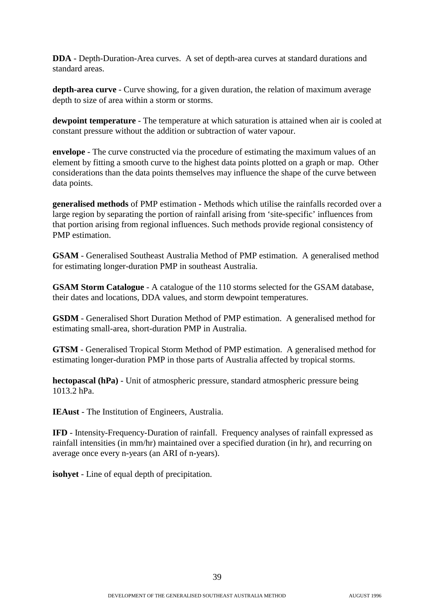**DDA** - Depth-Duration-Area curves. A set of depth-area curves at standard durations and standard areas.

**depth-area curve** - Curve showing, for a given duration, the relation of maximum average depth to size of area within a storm or storms.

**dewpoint temperature** - The temperature at which saturation is attained when air is cooled at constant pressure without the addition or subtraction of water vapour.

**envelope** - The curve constructed via the procedure of estimating the maximum values of an element by fitting a smooth curve to the highest data points plotted on a graph or map. Other considerations than the data points themselves may influence the shape of the curve between data points.

**generalised methods** of PMP estimation - Methods which utilise the rainfalls recorded over a large region by separating the portion of rainfall arising from 'site-specific' influences from that portion arising from regional influences. Such methods provide regional consistency of PMP estimation.

**GSAM** - Generalised Southeast Australia Method of PMP estimation. A generalised method for estimating longer-duration PMP in southeast Australia.

**GSAM Storm Catalogue** - A catalogue of the 110 storms selected for the GSAM database, their dates and locations, DDA values, and storm dewpoint temperatures.

**GSDM** - Generalised Short Duration Method of PMP estimation. A generalised method for estimating small-area, short-duration PMP in Australia.

**GTSM** - Generalised Tropical Storm Method of PMP estimation. A generalised method for estimating longer-duration PMP in those parts of Australia affected by tropical storms.

**hectopascal (hPa)** - Unit of atmospheric pressure, standard atmospheric pressure being 1013.2 hPa.

**IEAust** - The Institution of Engineers, Australia.

**IFD** - Intensity-Frequency-Duration of rainfall. Frequency analyses of rainfall expressed as rainfall intensities (in mm/hr) maintained over a specified duration (in hr), and recurring on average once every n-years (an ARI of n-years).

**isohyet** - Line of equal depth of precipitation.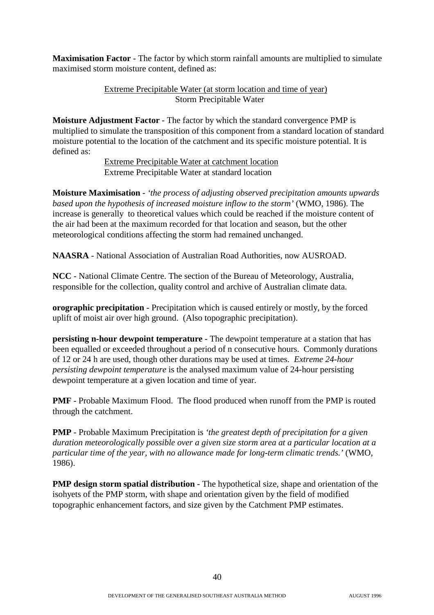**Maximisation Factor** - The factor by which storm rainfall amounts are multiplied to simulate maximised storm moisture content, defined as:

#### Extreme Precipitable Water (at storm location and time of year) Storm Precipitable Water

**Moisture Adjustment Factor** - The factor by which the standard convergence PMP is multiplied to simulate the transposition of this component from a standard location of standard moisture potential to the location of the catchment and its specific moisture potential. It is defined as:

> Extreme Precipitable Water at catchment location Extreme Precipitable Water at standard location

**Moisture Maximisation** - *'the process of adjusting observed precipitation amounts upwards based upon the hypothesis of increased moisture inflow to the storm'* (WMO, 1986). The increase is generally to theoretical values which could be reached if the moisture content of the air had been at the maximum recorded for that location and season, but the other meteorological conditions affecting the storm had remained unchanged.

**NAASRA** - National Association of Australian Road Authorities, now AUSROAD.

**NCC** - National Climate Centre. The section of the Bureau of Meteorology, Australia, responsible for the collection, quality control and archive of Australian climate data.

**orographic precipitation** - Precipitation which is caused entirely or mostly, by the forced uplift of moist air over high ground. (Also topographic precipitation).

**persisting n-hour dewpoint temperature** - The dewpoint temperature at a station that has been equalled or exceeded throughout a period of n consecutive hours. Commonly durations of 12 or 24 h are used, though other durations may be used at times. *Extreme 24-hour persisting dewpoint temperature* is the analysed maximum value of 24-hour persisting dewpoint temperature at a given location and time of year.

**PMF** - Probable Maximum Flood. The flood produced when runoff from the PMP is routed through the catchment.

**PMP** - Probable Maximum Precipitation is *'the greatest depth of precipitation for a given duration meteorologically possible over a given size storm area at a particular location at a particular time of the year, with no allowance made for long-term climatic trends.'* (WMO, 1986).

**PMP design storm spatial distribution** - The hypothetical size, shape and orientation of the isohyets of the PMP storm, with shape and orientation given by the field of modified topographic enhancement factors, and size given by the Catchment PMP estimates.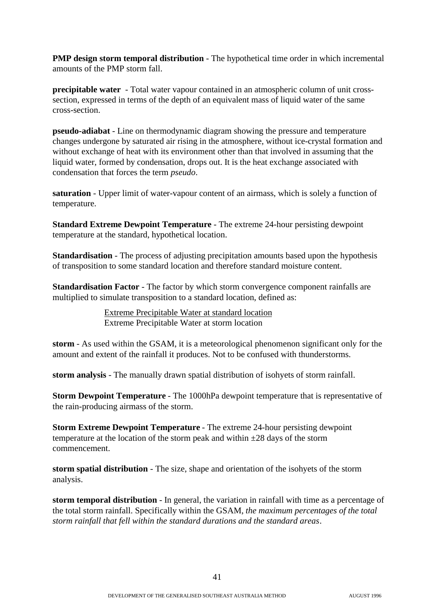**PMP design storm temporal distribution** - The hypothetical time order in which incremental amounts of the PMP storm fall.

**precipitable water** - Total water vapour contained in an atmospheric column of unit crosssection, expressed in terms of the depth of an equivalent mass of liquid water of the same cross-section.

**pseudo-adiabat** - Line on thermodynamic diagram showing the pressure and temperature changes undergone by saturated air rising in the atmosphere, without ice-crystal formation and without exchange of heat with its environment other than that involved in assuming that the liquid water, formed by condensation, drops out. It is the heat exchange associated with condensation that forces the term *pseudo*.

**saturation** - Upper limit of water-vapour content of an airmass, which is solely a function of temperature.

**Standard Extreme Dewpoint Temperature** - The extreme 24-hour persisting dewpoint temperature at the standard, hypothetical location.

**Standardisation** - The process of adjusting precipitation amounts based upon the hypothesis of transposition to some standard location and therefore standard moisture content.

**Standardisation Factor - The factor by which storm convergence component rainfalls are** multiplied to simulate transposition to a standard location, defined as:

> Extreme Precipitable Water at standard location Extreme Precipitable Water at storm location

**storm** - As used within the GSAM, it is a meteorological phenomenon significant only for the amount and extent of the rainfall it produces. Not to be confused with thunderstorms.

**storm analysis** - The manually drawn spatial distribution of isohyets of storm rainfall.

**Storm Dewpoint Temperature** - The 1000hPa dewpoint temperature that is representative of the rain-producing airmass of the storm.

**Storm Extreme Dewpoint Temperature** - The extreme 24-hour persisting dewpoint temperature at the location of the storm peak and within  $\pm 28$  days of the storm commencement.

**storm spatial distribution** - The size, shape and orientation of the isohyets of the storm analysis.

**storm temporal distribution** - In general, the variation in rainfall with time as a percentage of the total storm rainfall. Specifically within the GSAM, *the maximum percentages of the total storm rainfall that fell within the standard durations and the standard areas*.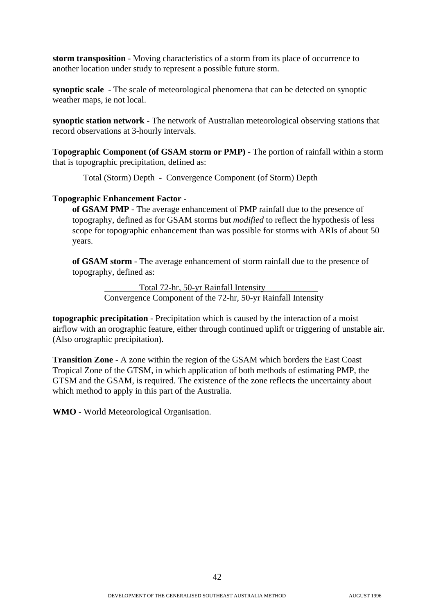**storm transposition** - Moving characteristics of a storm from its place of occurrence to another location under study to represent a possible future storm.

**synoptic scale** - The scale of meteorological phenomena that can be detected on synoptic weather maps, ie not local.

**synoptic station network** - The network of Australian meteorological observing stations that record observations at 3-hourly intervals.

**Topographic Component (of GSAM storm or PMP)** - The portion of rainfall within a storm that is topographic precipitation, defined as:

Total (Storm) Depth - Convergence Component (of Storm) Depth

#### **Topographic Enhancement Factor** -

**of GSAM PMP** - The average enhancement of PMP rainfall due to the presence of topography, defined as for GSAM storms but *modified* to reflect the hypothesis of less scope for topographic enhancement than was possible for storms with ARIs of about 50 years.

**of GSAM storm** - The average enhancement of storm rainfall due to the presence of topography, defined as:

> Total 72-hr, 50-yr Rainfall Intensity Convergence Component of the 72-hr, 50-yr Rainfall Intensity

**topographic precipitation** - Precipitation which is caused by the interaction of a moist airflow with an orographic feature, either through continued uplift or triggering of unstable air. (Also orographic precipitation).

**Transition Zone** - A zone within the region of the GSAM which borders the East Coast Tropical Zone of the GTSM, in which application of both methods of estimating PMP, the GTSM and the GSAM, is required. The existence of the zone reflects the uncertainty about which method to apply in this part of the Australia.

**WMO** - World Meteorological Organisation.